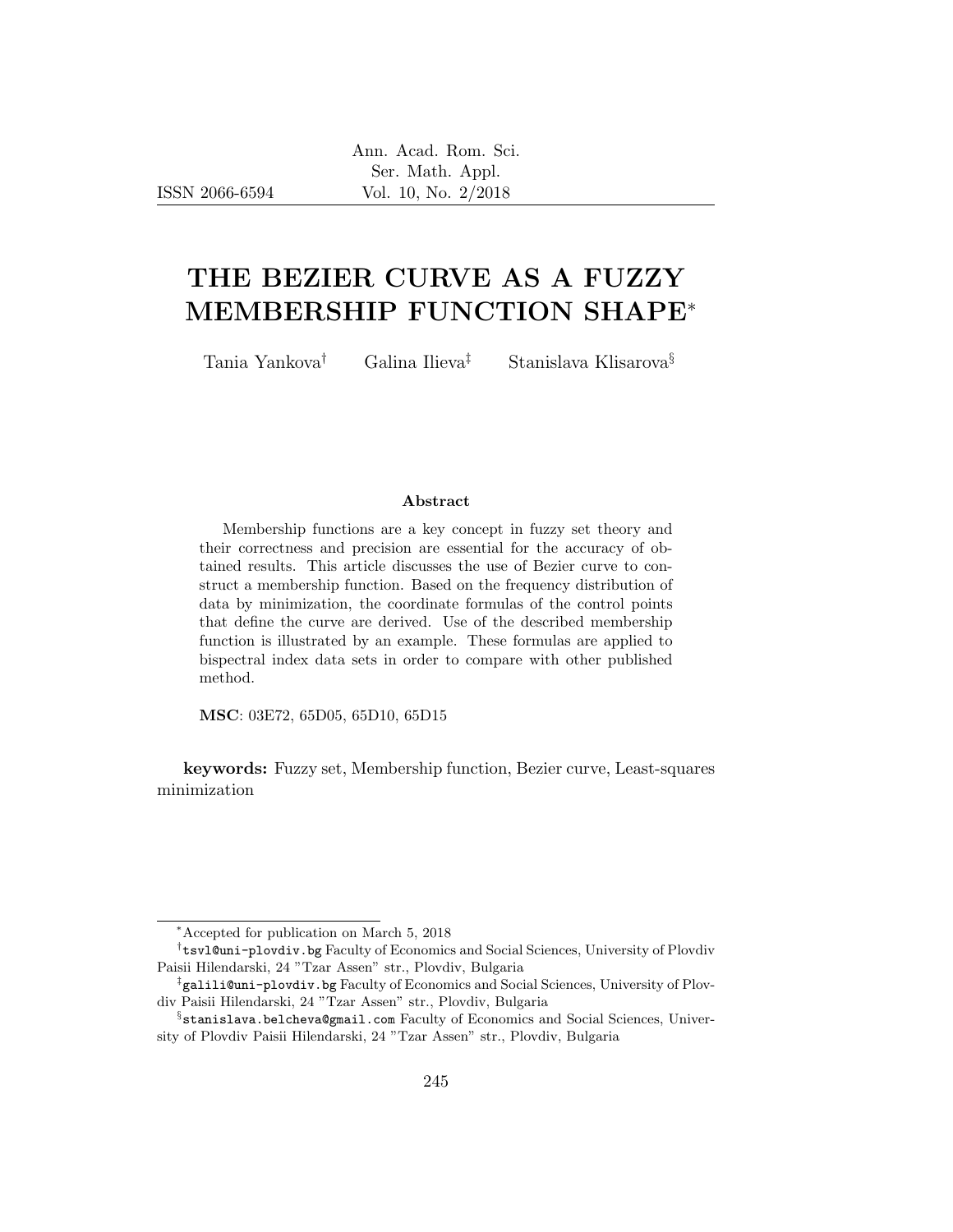ISSN 2066-6594

# THE BEZIER CURVE AS A FUZZY MEMBERSHIP FUNCTION SHAPE<sup>∗</sup>

Tania Yankova† Galina Ilieva‡ Stanislava Klisarova§

#### Abstract

Membership functions are a key concept in fuzzy set theory and their correctness and precision are essential for the accuracy of obtained results. This article discusses the use of Bezier curve to construct a membership function. Based on the frequency distribution of data by minimization, the coordinate formulas of the control points that define the curve are derived. Use of the described membership function is illustrated by an example. These formulas are applied to bispectral index data sets in order to compare with other published method.

MSC: 03E72, 65D05, 65D10, 65D15

keywords: Fuzzy set, Membership function, Bezier curve, Least-squares minimization

<sup>∗</sup>Accepted for publication on March 5, 2018

<sup>†</sup> tsvl@uni-plovdiv.bg Faculty of Economics and Social Sciences, University of Plovdiv Paisii Hilendarski, 24 "Tzar Assen" str., Plovdiv, Bulgaria

<sup>‡</sup> galili@uni-plovdiv.bg Faculty of Economics and Social Sciences, University of Plovdiv Paisii Hilendarski, 24 "Tzar Assen" str., Plovdiv, Bulgaria

 $\S$ stanislava.belcheva@gmail.com Faculty of Economics and Social Sciences, University of Plovdiv Paisii Hilendarski, 24 "Tzar Assen" str., Plovdiv, Bulgaria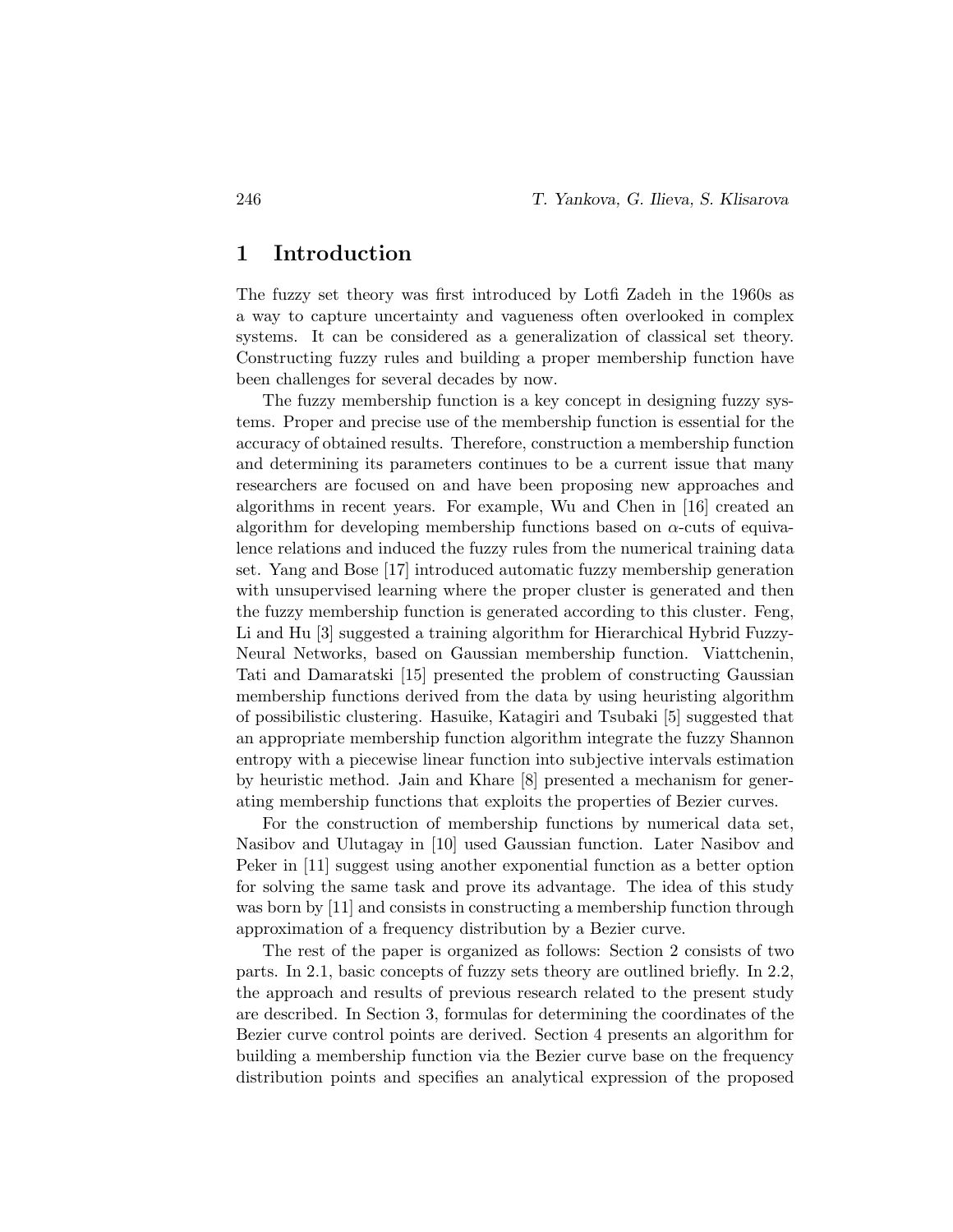#### 1 Introduction

The fuzzy set theory was first introduced by Lotfi Zadeh in the 1960s as a way to capture uncertainty and vagueness often overlooked in complex systems. It can be considered as a generalization of classical set theory. Constructing fuzzy rules and building a proper membership function have been challenges for several decades by now.

The fuzzy membership function is a key concept in designing fuzzy systems. Proper and precise use of the membership function is essential for the accuracy of obtained results. Therefore, construction a membership function and determining its parameters continues to be a current issue that many researchers are focused on and have been proposing new approaches and algorithms in recent years. For example, Wu and Chen in [16] created an algorithm for developing membership functions based on  $\alpha$ -cuts of equivalence relations and induced the fuzzy rules from the numerical training data set. Yang and Bose [17] introduced automatic fuzzy membership generation with unsupervised learning where the proper cluster is generated and then the fuzzy membership function is generated according to this cluster. Feng, Li and Hu [3] suggested a training algorithm for Hierarchical Hybrid Fuzzy-Neural Networks, based on Gaussian membership function. Viattchenin, Tati and Damaratski [15] presented the problem of constructing Gaussian membership functions derived from the data by using heuristing algorithm of possibilistic clustering. Hasuike, Katagiri and Tsubaki [5] suggested that an appropriate membership function algorithm integrate the fuzzy Shannon entropy with a piecewise linear function into subjective intervals estimation by heuristic method. Jain and Khare [8] presented a mechanism for generating membership functions that exploits the properties of Bezier curves.

For the construction of membership functions by numerical data set, Nasibov and Ulutagay in [10] used Gaussian function. Later Nasibov and Peker in [11] suggest using another exponential function as a better option for solving the same task and prove its advantage. The idea of this study was born by [11] and consists in constructing a membership function through approximation of a frequency distribution by a Bezier curve.

The rest of the paper is organized as follows: Section 2 consists of two parts. In 2.1, basic concepts of fuzzy sets theory are outlined briefly. In 2.2, the approach and results of previous research related to the present study are described. In Section 3, formulas for determining the coordinates of the Bezier curve control points are derived. Section 4 presents an algorithm for building a membership function via the Bezier curve base on the frequency distribution points and specifies an analytical expression of the proposed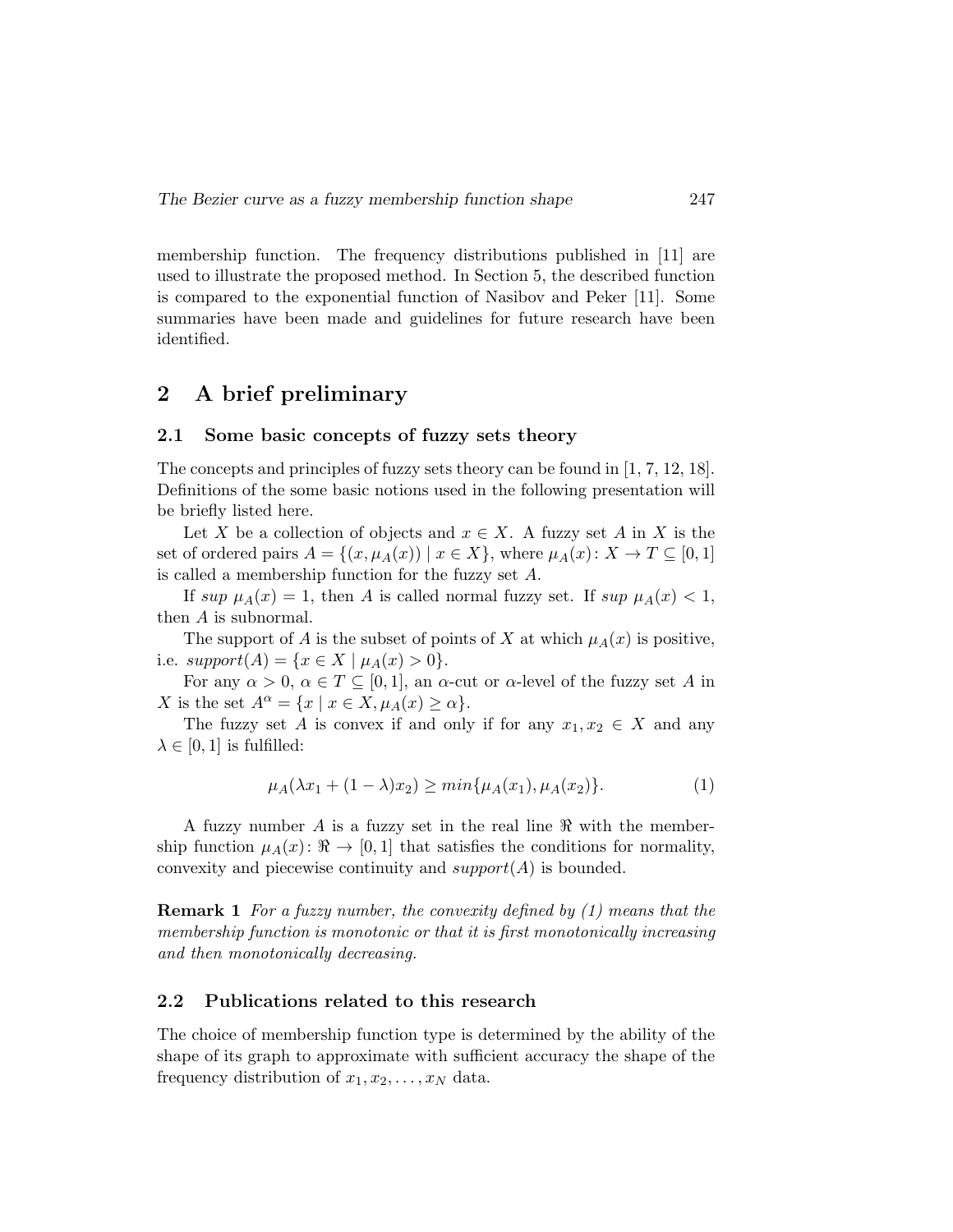membership function. The frequency distributions published in [11] are used to illustrate the proposed method. In Section 5, the described function is compared to the exponential function of Nasibov and Peker [11]. Some summaries have been made and guidelines for future research have been identified.

### 2 A brief preliminary

#### 2.1 Some basic concepts of fuzzy sets theory

The concepts and principles of fuzzy sets theory can be found in [1, 7, 12, 18]. Definitions of the some basic notions used in the following presentation will be briefly listed here.

Let X be a collection of objects and  $x \in X$ . A fuzzy set A in X is the set of ordered pairs  $A = \{(x, \mu_A(x)) \mid x \in X\}$ , where  $\mu_A(x): X \to T \subseteq [0, 1]$ is called a membership function for the fuzzy set A.

If sup  $\mu_A(x) = 1$ , then A is called normal fuzzy set. If sup  $\mu_A(x) < 1$ , then A is subnormal.

The support of A is the subset of points of X at which  $\mu_A(x)$  is positive, i.e.  $support(A) = \{x \in X \mid \mu_A(x) > 0\}.$ 

For any  $\alpha > 0$ ,  $\alpha \in T \subseteq [0,1]$ , an  $\alpha$ -cut or  $\alpha$ -level of the fuzzy set A in X is the set  $A^{\alpha} = \{x \mid x \in X, \mu_A(x) \ge \alpha\}.$ 

The fuzzy set A is convex if and only if for any  $x_1, x_2 \in X$  and any  $\lambda \in [0, 1]$  is fulfilled:

$$
\mu_A(\lambda x_1 + (1 - \lambda)x_2) \ge \min\{\mu_A(x_1), \mu_A(x_2)\}.
$$
 (1)

A fuzzy number A is a fuzzy set in the real line  $\Re$  with the membership function  $\mu_A(x)$ :  $\Re \to [0, 1]$  that satisfies the conditions for normality, convexity and piecewise continuity and  $support(A)$  is bounded.

Remark 1 For a fuzzy number, the convexity defined by (1) means that the membership function is monotonic or that it is first monotonically increasing and then monotonically decreasing.

#### 2.2 Publications related to this research

The choice of membership function type is determined by the ability of the shape of its graph to approximate with sufficient accuracy the shape of the frequency distribution of  $x_1, x_2, \ldots, x_N$  data.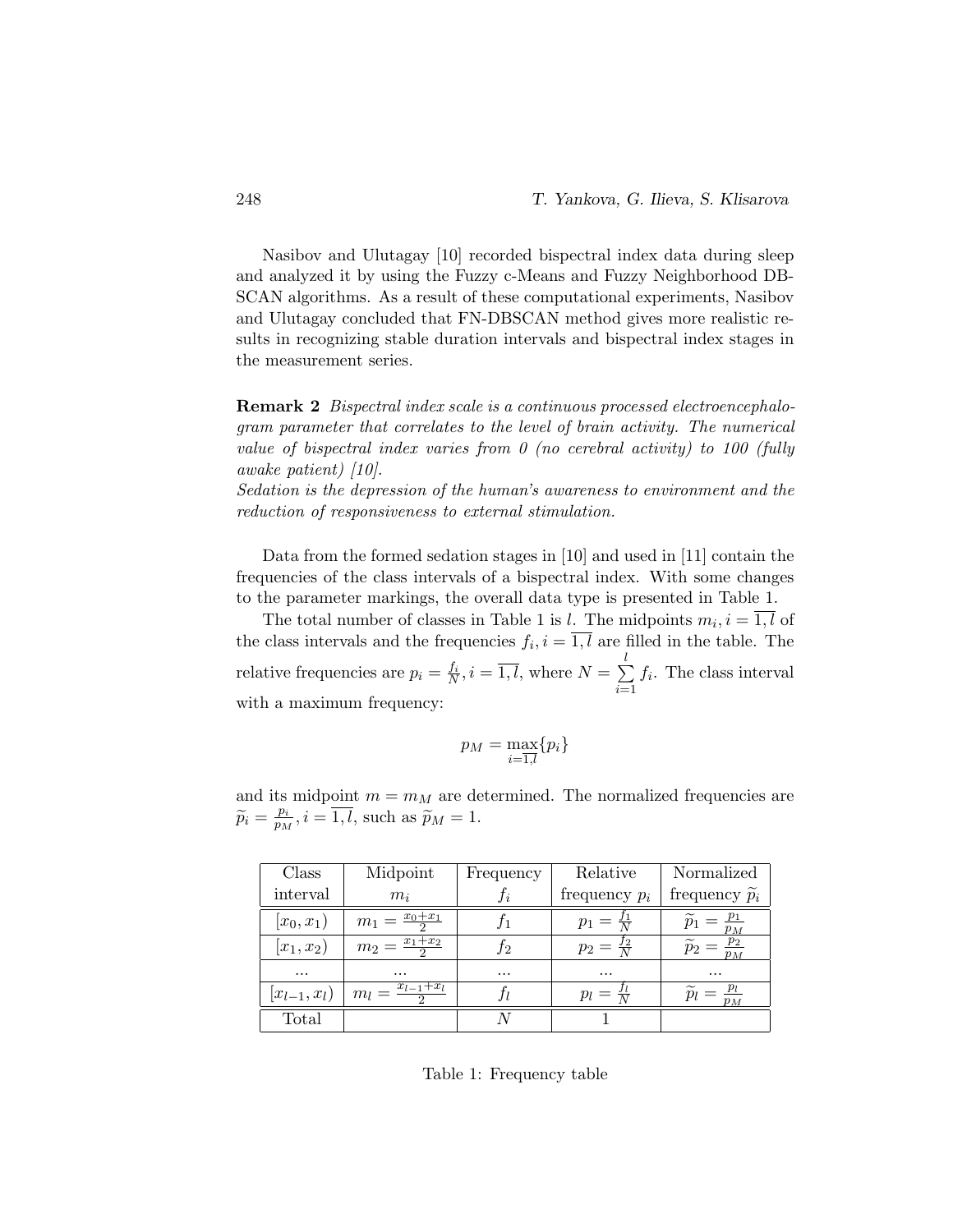Nasibov and Ulutagay [10] recorded bispectral index data during sleep and analyzed it by using the Fuzzy c-Means and Fuzzy Neighborhood DB-SCAN algorithms. As a result of these computational experiments, Nasibov and Ulutagay concluded that FN-DBSCAN method gives more realistic results in recognizing stable duration intervals and bispectral index stages in the measurement series.

Remark 2 Bispectral index scale is a continuous processed electroencephalogram parameter that correlates to the level of brain activity. The numerical value of bispectral index varies from  $\theta$  (no cerebral activity) to 100 (fully awake patient) [10].

Sedation is the depression of the human's awareness to environment and the reduction of responsiveness to external stimulation.

Data from the formed sedation stages in [10] and used in [11] contain the frequencies of the class intervals of a bispectral index. With some changes to the parameter markings, the overall data type is presented in Table 1.

The total number of classes in Table 1 is l. The midpoints  $m_i, i = 1, l$  of the class intervals and the frequencies  $f_i, i = 1, l$  are filled in the table. The relative frequencies are  $p_i = \frac{f_i}{N}$ ,  $i = \overline{1, l}$ , where  $N = \sum_{i=1}^{l}$  $i=1$  $f_i$ . The class interval with a maximum frequency:

$$
p_M = \max_{i=\overline{1,l}} \{p_i\}
$$

and its midpoint  $m = m_M$  are determined. The normalized frequencies are  $\widetilde{p}_i = \frac{p_i}{p_M}$  $\frac{p_i}{p_M}, i = 1, l$ , such as  $\widetilde{p}_M = 1$ .

| Class              | Midpoint                    | Frequency | Relative              | Normalized                  |
|--------------------|-----------------------------|-----------|-----------------------|-----------------------------|
| interval           | $m_i$                       | Ιi        | frequency $p_i$       | frequency $\widetilde{p}_i$ |
| $ x_0, x_1)$       | $m_1 = \frac{x_0 + x_1}{2}$ |           | $p_1 = \frac{J_1}{N}$ | $v_M$                       |
| $ x_1, x_2)$       | $m_2 = \frac{x_1+x_2}{2}$   | J2        | $p_2 = \frac{J_2}{N}$ | $p_M$                       |
| $\cdots$           | $\cdots$                    | $\cdots$  | $\cdots$              | $\cdots$                    |
| $ x_{l-1}, x_{l})$ | $x_{l-1}+x_{l}$<br>$m_l =$  |           | $p_l = \frac{J_l}{N}$ |                             |
| Total              |                             |           |                       |                             |

Table 1: Frequency table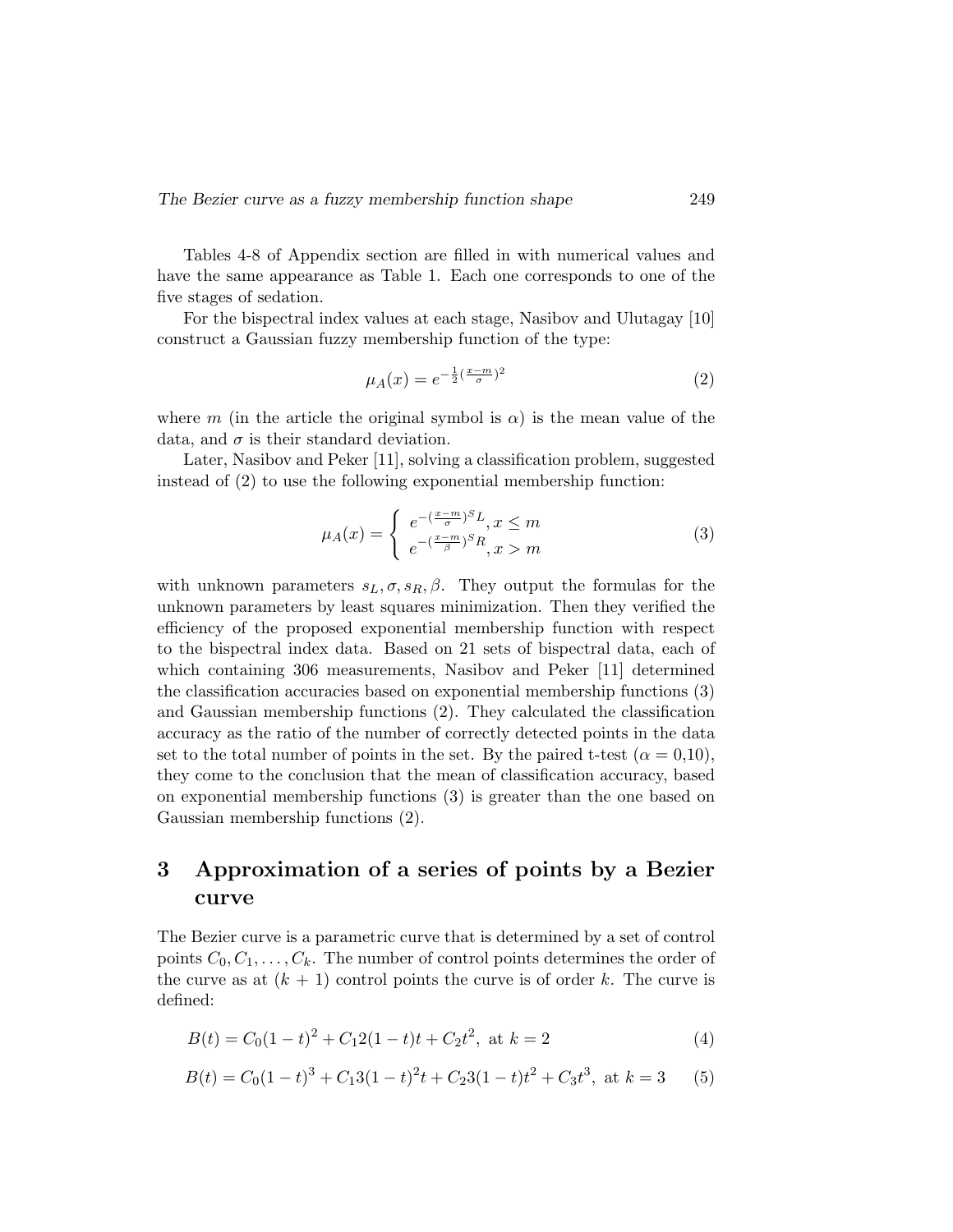Tables 4-8 of Appendix section are filled in with numerical values and have the same appearance as Table 1. Each one corresponds to one of the five stages of sedation.

For the bispectral index values at each stage, Nasibov and Ulutagay [10] construct a Gaussian fuzzy membership function of the type:

$$
\mu_A(x) = e^{-\frac{1}{2}(\frac{x-m}{\sigma})^2}
$$
\n(2)

where m (in the article the original symbol is  $\alpha$ ) is the mean value of the data, and  $\sigma$  is their standard deviation.

Later, Nasibov and Peker [11], solving a classification problem, suggested instead of (2) to use the following exponential membership function:

$$
\mu_A(x) = \begin{cases} e^{-\left(\frac{x-m}{\sigma}\right)^S L}, x \le m\\ e^{-\left(\frac{x-m}{\beta}\right)^S R}, x > m \end{cases}
$$
\n(3)

with unknown parameters  $s_L, \sigma, s_R, \beta$ . They output the formulas for the unknown parameters by least squares minimization. Then they verified the efficiency of the proposed exponential membership function with respect to the bispectral index data. Based on 21 sets of bispectral data, each of which containing 306 measurements, Nasibov and Peker [11] determined the classification accuracies based on exponential membership functions (3) and Gaussian membership functions (2). They calculated the classification accuracy as the ratio of the number of correctly detected points in the data set to the total number of points in the set. By the paired t-test ( $\alpha = 0.10$ ). they come to the conclusion that the mean of classification accuracy, based on exponential membership functions (3) is greater than the one based on Gaussian membership functions (2).

## 3 Approximation of a series of points by a Bezier curve

The Bezier curve is a parametric curve that is determined by a set of control points  $C_0, C_1, \ldots, C_k$ . The number of control points determines the order of the curve as at  $(k + 1)$  control points the curve is of order k. The curve is defined:

$$
B(t) = C_0(1-t)^2 + C_12(1-t)t + C_2t^2, \text{ at } k = 2
$$
\n(4)

$$
B(t) = C_0(1-t)^3 + C_13(1-t)^2t + C_23(1-t)t^2 + C_3t^3
$$
, at  $k = 3$  (5)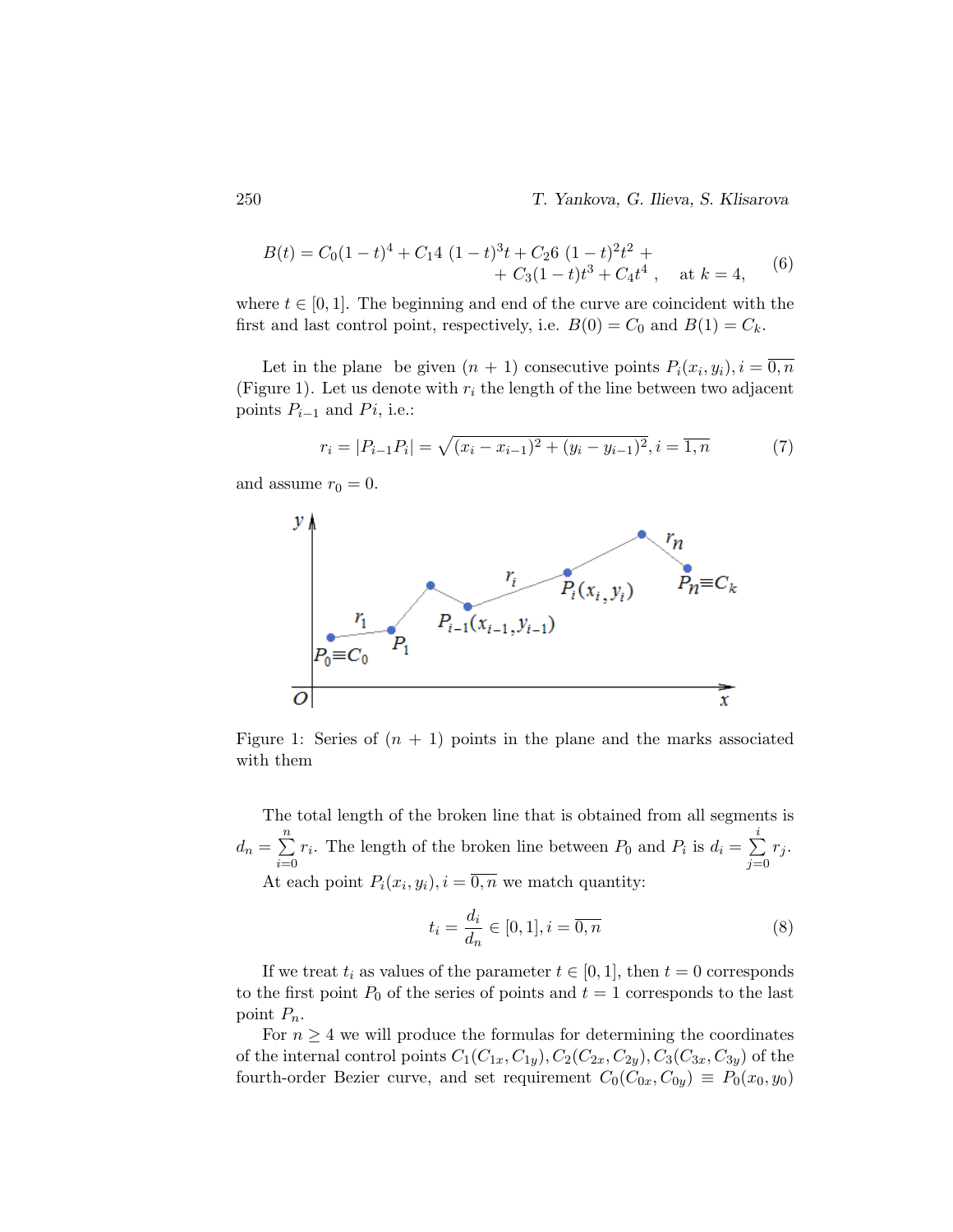250 T. Yankova, G. Ilieva, S. Klisarova

$$
B(t) = C_0(1-t)^4 + C_14 (1-t)^3t + C_26 (1-t)^2t^2 +
$$
  
+ C\_3(1-t)t^3 + C\_4t^4, at k = 4, (6)

where  $t \in [0, 1]$ . The beginning and end of the curve are coincident with the first and last control point, respectively, i.e.  $B(0) = C_0$  and  $B(1) = C_k$ .

Let in the plane be given  $(n + 1)$  consecutive points  $P_i(x_i, y_i)$ ,  $i = \overline{0, n}$ (Figure 1). Let us denote with  $r_i$  the length of the line between two adjacent points  $P_{i-1}$  and  $Pi$ , i.e.:

$$
r_i = |P_{i-1}P_i| = \sqrt{(x_i - x_{i-1})^2 + (y_i - y_{i-1})^2}, i = \overline{1, n}
$$
 (7)

and assume  $r_0 = 0$ .



Figure 1: Series of  $(n + 1)$  points in the plane and the marks associated with them

The total length of the broken line that is obtained from all segments is  $d_n = \sum_{n=1}^n$  $i=0$  $r_i$ . The length of the broken line between  $P_0$  and  $P_i$  is  $d_i = \sum_{i=1}^{i}$  $j=0$  $r_j$ . At each point  $P_i(x_i, y_i)$ ,  $i = \overline{0, n}$  we match quantity:

$$
t_i = \frac{d_i}{d_n} \in [0, 1], i = \overline{0, n}
$$
 (8)

If we treat  $t_i$  as values of the parameter  $t \in [0, 1]$ , then  $t = 0$  corresponds to the first point  $P_0$  of the series of points and  $t = 1$  corresponds to the last point  $P_n$ .

For  $n \geq 4$  we will produce the formulas for determining the coordinates of the internal control points  $C_1(C_{1x}, C_{1y}), C_2(C_{2x}, C_{2y}), C_3(C_{3x}, C_{3y})$  of the fourth-order Bezier curve, and set requirement  $C_0(C_{0x}, C_{0y}) \equiv P_0(x_0, y_0)$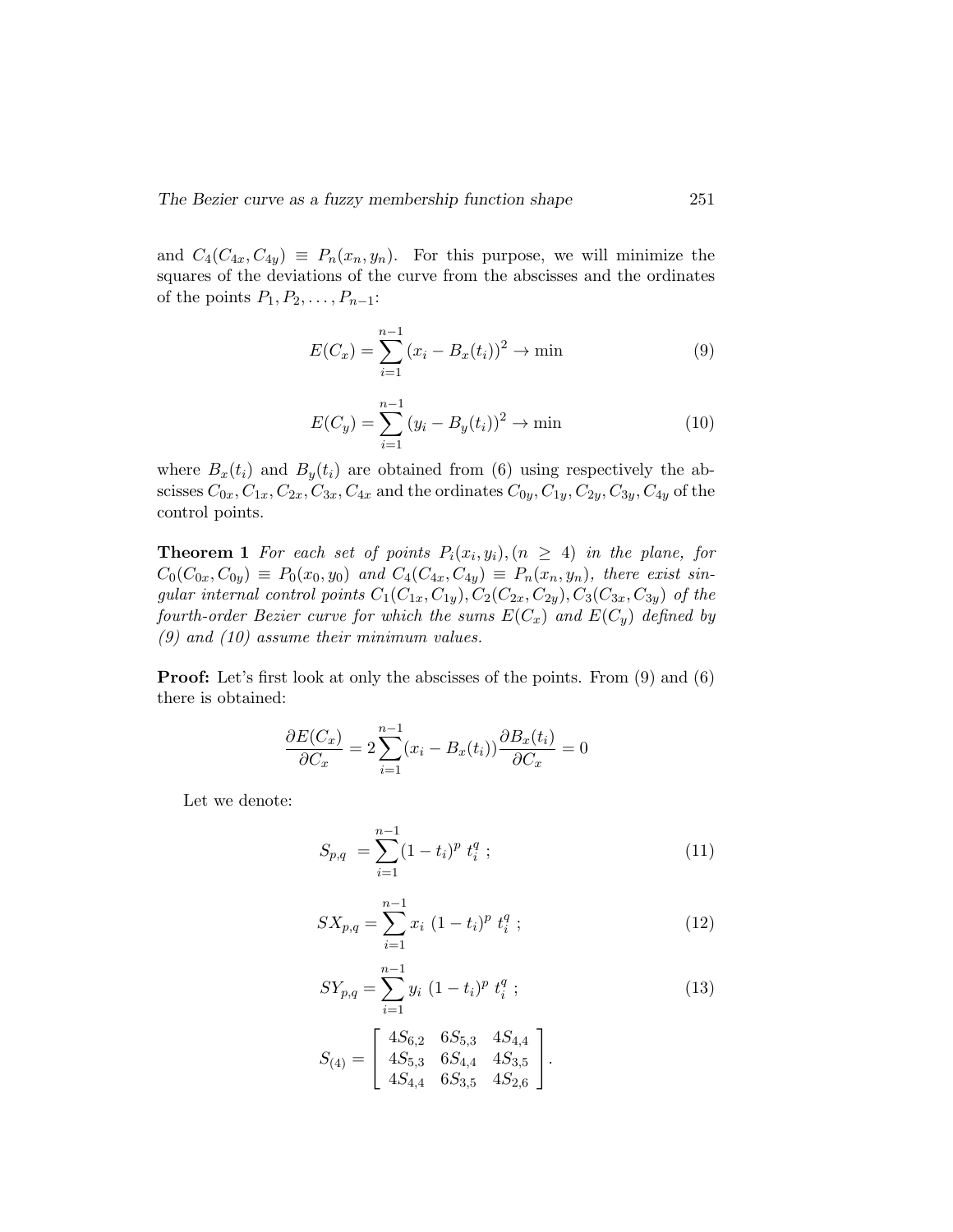and  $C_4(C_{4x}, C_{4y}) \equiv P_n(x_n, y_n)$ . For this purpose, we will minimize the squares of the deviations of the curve from the abscisses and the ordinates of the points  $P_1, P_2, \ldots, P_{n-1}$ :

$$
E(C_x) = \sum_{i=1}^{n-1} (x_i - B_x(t_i))^2 \to \min
$$
 (9)

$$
E(C_y) = \sum_{i=1}^{n-1} (y_i - B_y(t_i))^2 \to \min
$$
 (10)

where  $B_x(t_i)$  and  $B_y(t_i)$  are obtained from (6) using respectively the abscisses  $C_{0x}, C_{1x}, C_{2x}, C_{3x}, C_{4x}$  and the ordinates  $C_{0y}, C_{1y}, C_{2y}, C_{3y}, C_{4y}$  of the control points.

**Theorem 1** For each set of points  $P_i(x_i, y_i)$ ,  $(n \geq 4)$  in the plane, for  $C_0(C_{0x}, C_{0y}) \equiv P_0(x_0, y_0)$  and  $C_4(C_{4x}, C_{4y}) \equiv P_n(x_n, y_n)$ , there exist singular internal control points  $C_1(C_{1x}, C_{1y}), C_2(C_{2x}, C_{2y}), C_3(C_{3x}, C_{3y})$  of the fourth-order Bezier curve for which the sums  $E(C_x)$  and  $E(C_y)$  defined by (9) and (10) assume their minimum values.

**Proof:** Let's first look at only the abscisses of the points. From (9) and (6) there is obtained:

$$
\frac{\partial E(C_x)}{\partial C_x} = 2\sum_{i=1}^{n-1} (x_i - B_x(t_i)) \frac{\partial B_x(t_i)}{\partial C_x} = 0
$$

Let we denote:

$$
S_{p,q} = \sum_{i=1}^{n-1} (1-t_i)^p t_i^q ; \qquad (11)
$$

$$
SX_{p,q} = \sum_{i=1}^{n-1} x_i (1-t_i)^p t_i^q ; \qquad (12)
$$

$$
SY_{p,q} = \sum_{i=1}^{n-1} y_i (1 - t_i)^p t_i^q ;
$$
\n
$$
\begin{bmatrix} 4S_{6,2} & 6S_{5,3} & 4S_{4,4} \end{bmatrix}
$$
\n(13)

$$
S_{(4)}=\left[\begin{array}{ccc}4 S_{6,2} & 0 S_{5,3} & 4 S_{4,4} \\ 4 S_{5,3} & 6 S_{4,4} & 4 S_{3,5} \\ 4 S_{4,4} & 6 S_{3,5} & 4 S_{2,6} \end{array}\right].
$$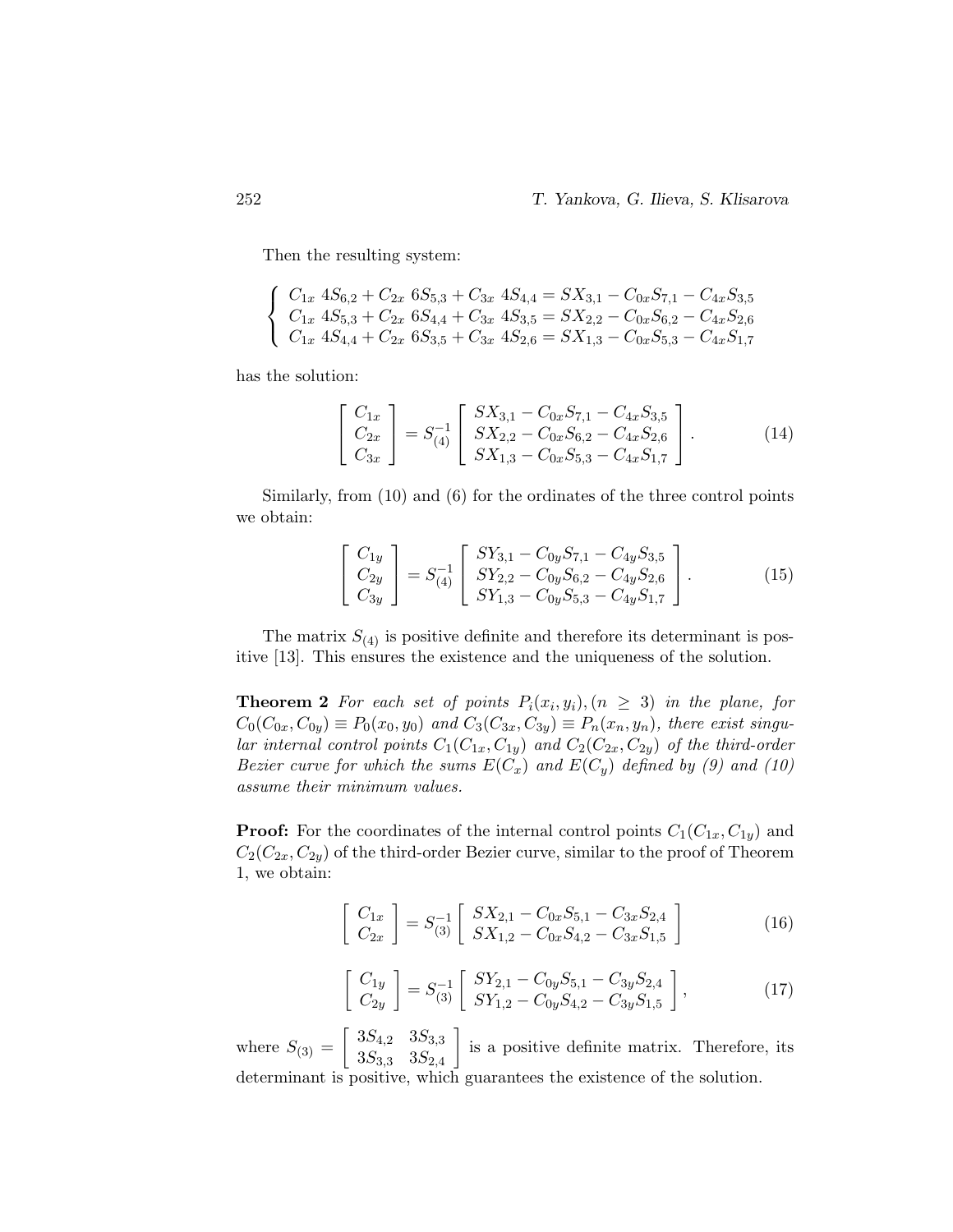Then the resulting system:

$$
\begin{cases}\nC_{1x} 4S_{6,2} + C_{2x} 6S_{5,3} + C_{3x} 4S_{4,4} = SX_{3,1} - C_{0x}S_{7,1} - C_{4x}S_{3,5} \\
C_{1x} 4S_{5,3} + C_{2x} 6S_{4,4} + C_{3x} 4S_{3,5} = SX_{2,2} - C_{0x}S_{6,2} - C_{4x}S_{2,6} \\
C_{1x} 4S_{4,4} + C_{2x} 6S_{3,5} + C_{3x} 4S_{2,6} = SX_{1,3} - C_{0x}S_{5,3} - C_{4x}S_{1,7}\n\end{cases}
$$

has the solution:

$$
\begin{bmatrix}\nC_{1x} \\
C_{2x} \\
C_{3x}\n\end{bmatrix} = S_{(4)}^{-1} \begin{bmatrix}\nSX_{3,1} - C_{0x}S_{7,1} - C_{4x}S_{3,5} \\
SX_{2,2} - C_{0x}S_{6,2} - C_{4x}S_{2,6} \\
SX_{1,3} - C_{0x}S_{5,3} - C_{4x}S_{1,7}\n\end{bmatrix}.
$$
\n(14)

Similarly, from (10) and (6) for the ordinates of the three control points we obtain:

$$
\begin{bmatrix}\nC_{1y} \\
C_{2y} \\
C_{3y}\n\end{bmatrix} = S_{(4)}^{-1} \begin{bmatrix}\nSY_{3,1} - C_{0y}S_{7,1} - C_{4y}S_{3,5} \\
SY_{2,2} - C_{0y}S_{6,2} - C_{4y}S_{2,6} \\
SY_{1,3} - C_{0y}S_{5,3} - C_{4y}S_{1,7}\n\end{bmatrix}.
$$
\n(15)

The matrix  $S_{(4)}$  is positive definite and therefore its determinant is positive [13]. This ensures the existence and the uniqueness of the solution.

**Theorem 2** For each set of points  $P_i(x_i, y_i)$ ,  $(n \geq 3)$  in the plane, for  $C_0(C_{0x}, C_{0y}) \equiv P_0(x_0, y_0)$  and  $C_3(C_{3x}, C_{3y}) \equiv P_n(x_n, y_n)$ , there exist singular internal control points  $C_1(C_{1x}, C_{1y})$  and  $C_2(C_{2x}, C_{2y})$  of the third-order Bezier curve for which the sums  $E(C_x)$  and  $E(C_y)$  defined by (9) and (10) assume their minimum values.

**Proof:** For the coordinates of the internal control points  $C_1(C_{1x}, C_{1y})$  and  $C_2(C_{2x}, C_{2y})$  of the third-order Bezier curve, similar to the proof of Theorem 1, we obtain:

$$
\begin{bmatrix}\nC_{1x} \\
C_{2x}\n\end{bmatrix} = S_{(3)}^{-1} \begin{bmatrix}\nSX_{2,1} - C_{0x}S_{5,1} - C_{3x}S_{2,4} \\
SX_{1,2} - C_{0x}S_{4,2} - C_{3x}S_{1,5}\n\end{bmatrix}
$$
\n(16)

$$
\begin{bmatrix}\nC_{1y} \\
C_{2y}\n\end{bmatrix} = S_{(3)}^{-1} \begin{bmatrix}\nSY_{2,1} - C_{0y}S_{5,1} - C_{3y}S_{2,4} \\
SY_{1,2} - C_{0y}S_{4,2} - C_{3y}S_{1,5}\n\end{bmatrix},
$$
\n(17)

where  $S_{(3)} = \begin{bmatrix} 3S_{4,2} & 3S_{3,3} \\ 3S_{4,3} & 3S_{4,4} \end{bmatrix}$  $3S_{3,3}$   $3S_{2,4}$  is a positive definite matrix. Therefore, its determinant is positive, which guarantees the existence of the solution.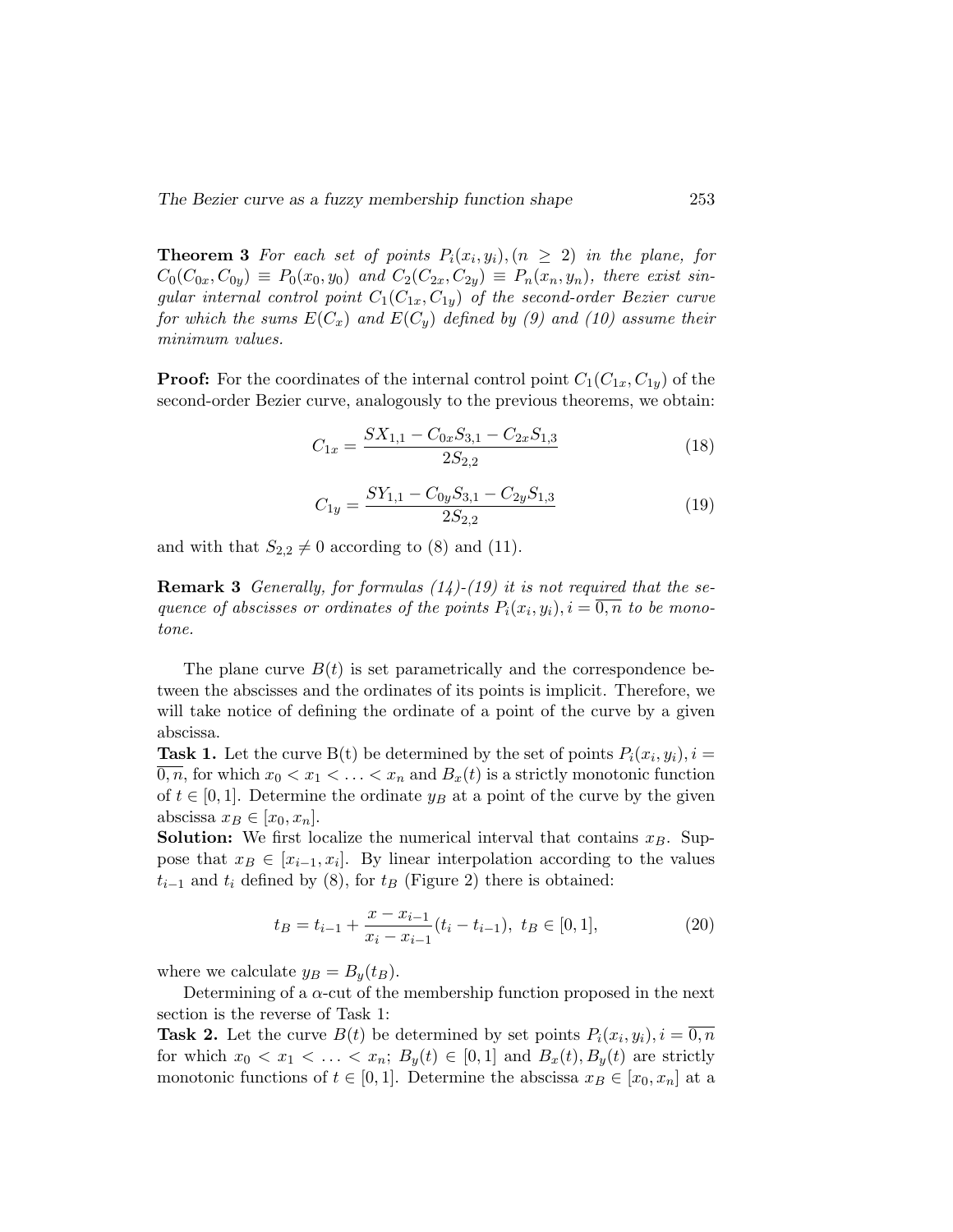**Theorem 3** For each set of points  $P_i(x_i, y_i)$ ,  $(n \geq 2)$  in the plane, for  $C_0(C_{0x}, C_{0y}) \equiv P_0(x_0, y_0)$  and  $C_2(C_{2x}, C_{2y}) \equiv P_n(x_n, y_n)$ , there exist singular internal control point  $C_1(C_{1x}, C_{1y})$  of the second-order Bezier curve for which the sums  $E(C_x)$  and  $E(C_y)$  defined by (9) and (10) assume their minimum values.

**Proof:** For the coordinates of the internal control point  $C_1(C_{1x}, C_{1y})$  of the second-order Bezier curve, analogously to the previous theorems, we obtain:

$$
C_{1x} = \frac{SX_{1,1} - C_{0x}S_{3,1} - C_{2x}S_{1,3}}{2S_{2,2}}
$$
\n(18)

$$
C_{1y} = \frac{SY_{1,1} - C_{0y}S_{3,1} - C_{2y}S_{1,3}}{2S_{2,2}}
$$
\n(19)

and with that  $S_{2,2} \neq 0$  according to (8) and (11).

**Remark 3** Generally, for formulas  $(14)-(19)$  it is not required that the sequence of abscisses or ordinates of the points  $P_i(x_i, y_i)$ ,  $i = \overline{0,n}$  to be monotone.

The plane curve  $B(t)$  is set parametrically and the correspondence between the abscisses and the ordinates of its points is implicit. Therefore, we will take notice of defining the ordinate of a point of the curve by a given abscissa.

**Task 1.** Let the curve B(t) be determined by the set of points  $P_i(x_i, y_i)$ ,  $i =$ 0, n, for which  $x_0 < x_1 < \ldots < x_n$  and  $B_x(t)$  is a strictly monotonic function of  $t \in [0, 1]$ . Determine the ordinate  $y_B$  at a point of the curve by the given abscissa  $x_B \in [x_0, x_n]$ .

**Solution:** We first localize the numerical interval that contains  $x_B$ . Suppose that  $x_B \in [x_{i-1}, x_i]$ . By linear interpolation according to the values  $t_{i-1}$  and  $t_i$  defined by (8), for  $t_B$  (Figure 2) there is obtained:

$$
t_B = t_{i-1} + \frac{x - x_{i-1}}{x_i - x_{i-1}} (t_i - t_{i-1}), \ t_B \in [0, 1], \tag{20}
$$

where we calculate  $y_B = B_y(t_B)$ .

Determining of a  $\alpha$ -cut of the membership function proposed in the next section is the reverse of Task 1:

**Task 2.** Let the curve  $B(t)$  be determined by set points  $P_i(x_i, y_i)$ ,  $i = \overline{0, n}$ for which  $x_0 < x_1 < \ldots < x_n$ ;  $B_y(t) \in [0,1]$  and  $B_x(t), B_y(t)$  are strictly monotonic functions of  $t \in [0, 1]$ . Determine the abscissa  $x_B \in [x_0, x_n]$  at a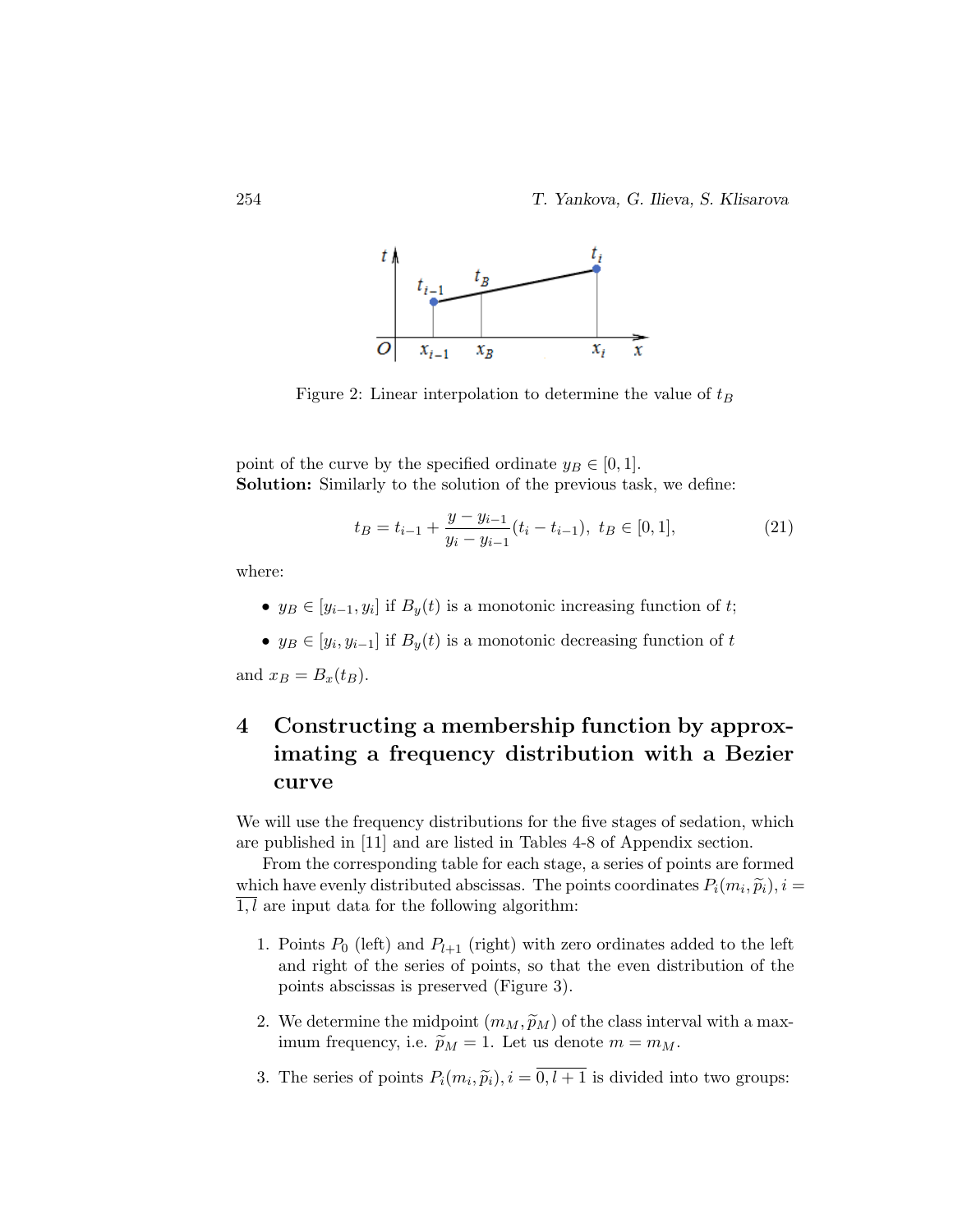

Figure 2: Linear interpolation to determine the value of  $t_B$ 

point of the curve by the specified ordinate  $y_B \in [0, 1]$ . Solution: Similarly to the solution of the previous task, we define:

$$
t_B = t_{i-1} + \frac{y - y_{i-1}}{y_i - y_{i-1}} (t_i - t_{i-1}), \ t_B \in [0, 1], \tag{21}
$$

where:

- $y_B \in [y_{i-1}, y_i]$  if  $B_y(t)$  is a monotonic increasing function of t;
- $y_B \in [y_i, y_{i-1}]$  if  $B_y(t)$  is a monotonic decreasing function of t

and  $x_B = B_x(t_B)$ .

## 4 Constructing a membership function by approximating a frequency distribution with a Bezier curve

We will use the frequency distributions for the five stages of sedation, which are published in [11] and are listed in Tables 4-8 of Appendix section.

From the corresponding table for each stage, a series of points are formed which have evenly distributed abscissas. The points coordinates  $P_i(m_i, \tilde{p}_i), i =$ <br> $\overline{1, l}$  are input data for the following algorithm:  $\overline{1,l}$  are input data for the following algorithm:

- 1. Points  $P_0$  (left) and  $P_{l+1}$  (right) with zero ordinates added to the left and right of the series of points, so that the even distribution of the points abscissas is preserved (Figure 3).
- 2. We determine the midpoint  $(m_M, \widetilde{p}_M)$  of the class interval with a maximum frequency, i.e.  $\widetilde{p}_M = 1$ . Let us denote  $m = m_M$ .
- 3. The series of points  $P_i(m_i, \tilde{p}_i), i = 0, l + 1$  is divided into two groups: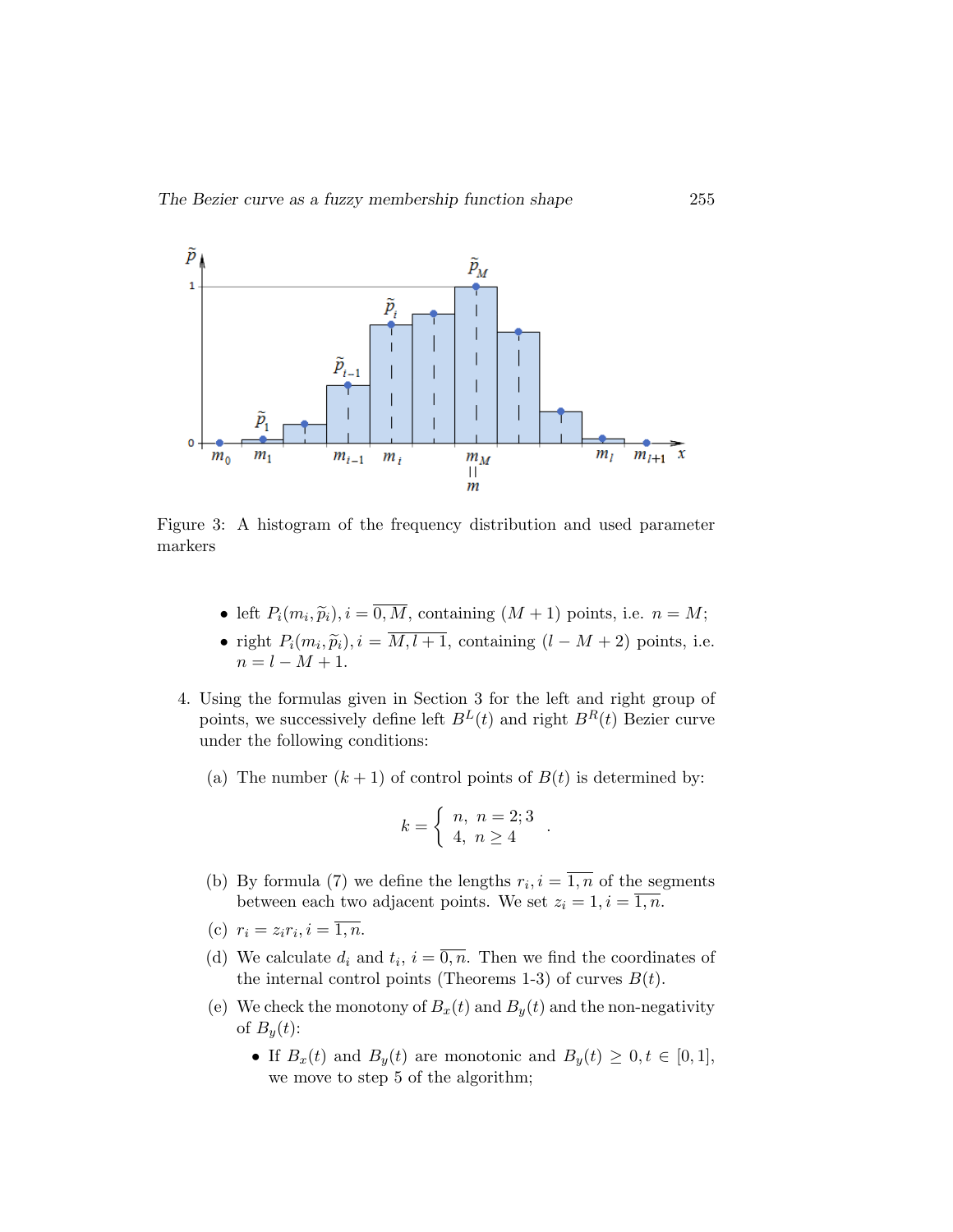

Figure 3: A histogram of the frequency distribution and used parameter markers

- left  $P_i(m_i, \tilde{p}_i), i = 0, M$ , containing  $(M + 1)$  points, i.e.  $n = M$ ;
- right  $P_i(m_i, \tilde{p}_i), i = M, l + 1$ , containing  $(l M + 2)$  points, i.e.  $n = l - M + 1.$
- 4. Using the formulas given in Section 3 for the left and right group of points, we successively define left  $B<sup>L</sup>(t)$  and right  $B<sup>R</sup>(t)$  Bezier curve under the following conditions:
	- (a) The number  $(k + 1)$  of control points of  $B(t)$  is determined by:

$$
k = \left\{ \begin{array}{l} n, \ n = 2; 3 \\ 4, \ n \ge 4 \end{array} \right.
$$

.

- (b) By formula (7) we define the lengths  $r_i, i = \overline{1,n}$  of the segments between each two adjacent points. We set  $z_i = 1, i = \overline{1, n}$ .
- (c)  $r_i = z_i r_i, i = \overline{1, n}.$
- (d) We calculate  $d_i$  and  $t_i$ ,  $i = \overline{0,n}$ . Then we find the coordinates of the internal control points (Theorems 1-3) of curves  $B(t)$ .
- (e) We check the monotony of  $B_x(t)$  and  $B_y(t)$  and the non-negativity of  $B_u(t)$ :
	- If  $B_x(t)$  and  $B_y(t)$  are monotonic and  $B_y(t) \geq 0, t \in [0,1],$ we move to step 5 of the algorithm;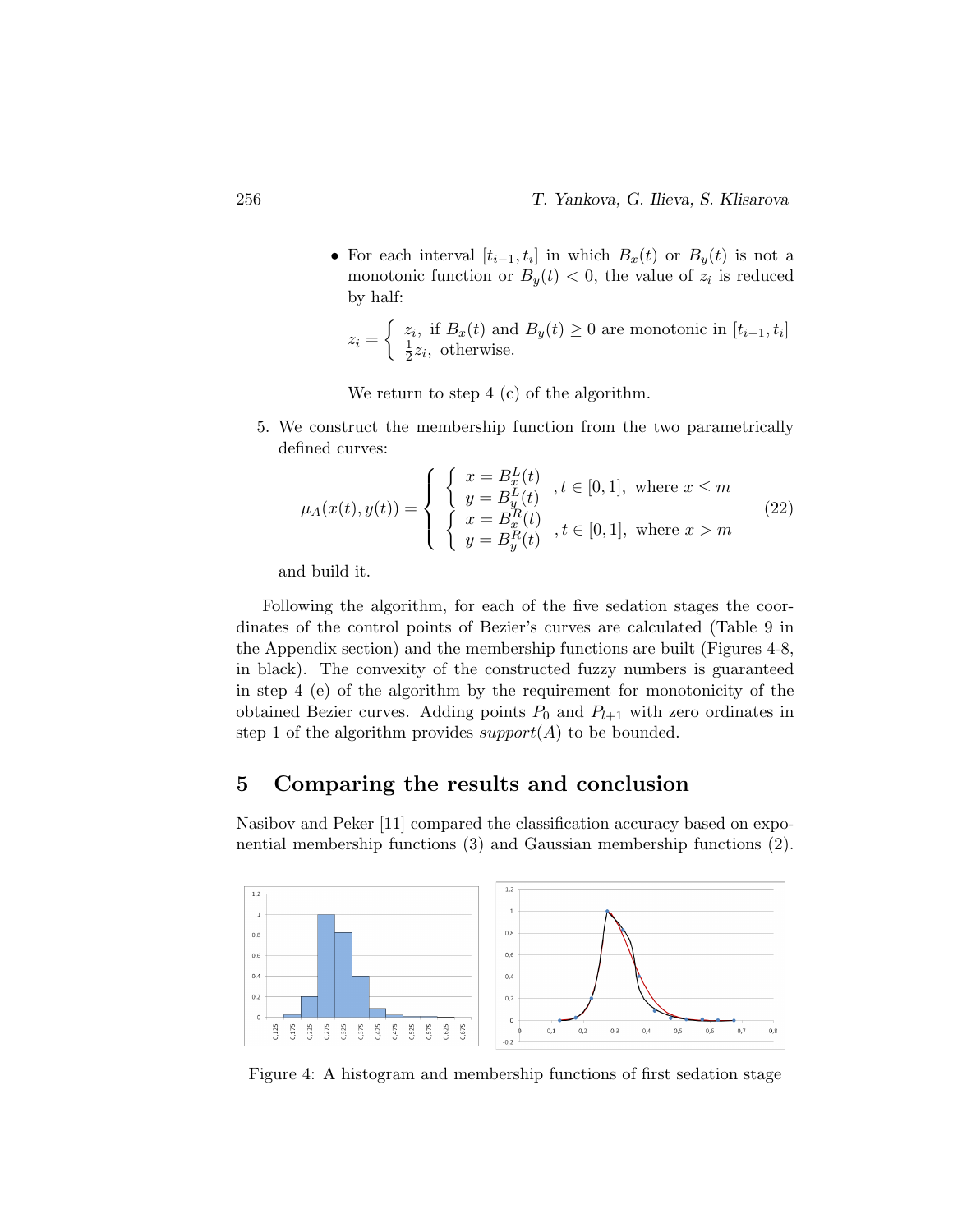• For each interval  $[t_{i-1}, t_i]$  in which  $B_x(t)$  or  $B_y(t)$  is not a monotonic function or  $B_y(t) < 0$ , the value of  $z_i$  is reduced by half:

$$
z_i = \begin{cases} z_i, \text{ if } B_x(t) \text{ and } B_y(t) \ge 0 \text{ are monotonic in } [t_{i-1}, t_i] \\ \frac{1}{2}z_i, \text{ otherwise.} \end{cases}
$$

We return to step 4 (c) of the algorithm.

5. We construct the membership function from the two parametrically defined curves:

$$
\mu_A(x(t), y(t)) = \begin{cases} \begin{cases} x = B_x^L(t) & t \in [0, 1], \text{ where } x \le m \\ y = B_y^L(t) & t \in [0, 1], \text{ where } x < m \\ x = B_x^R(t) & t \in [0, 1], \text{ where } x > m \end{cases} \end{cases} \tag{22}
$$

and build it.

Following the algorithm, for each of the five sedation stages the coordinates of the control points of Bezier's curves are calculated (Table 9 in the Appendix section) and the membership functions are built (Figures 4-8, in black). The convexity of the constructed fuzzy numbers is guaranteed in step 4 (e) of the algorithm by the requirement for monotonicity of the obtained Bezier curves. Adding points  $P_0$  and  $P_{l+1}$  with zero ordinates in step 1 of the algorithm provides  $support(A)$  to be bounded.

## 5 Comparing the results and conclusion

Nasibov and Peker [11] compared the classification accuracy based on exponential membership functions (3) and Gaussian membership functions (2).



Figure 4: A histogram and membership functions of first sedation stage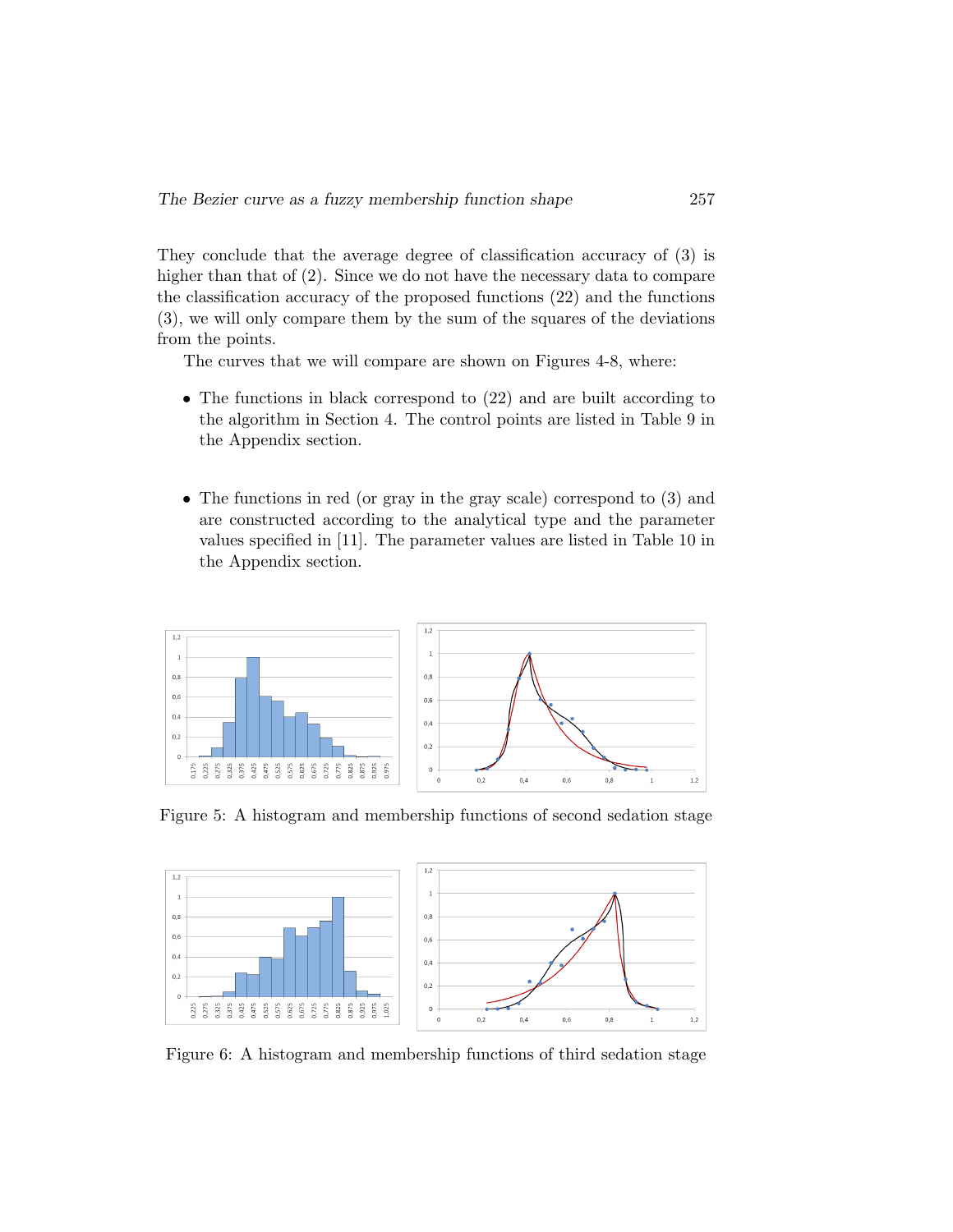They conclude that the average degree of classification accuracy of (3) is higher than that of  $(2)$ . Since we do not have the necessary data to compare the classification accuracy of the proposed functions (22) and the functions (3), we will only compare them by the sum of the squares of the deviations from the points.

The curves that we will compare are shown on Figures 4-8, where:

- The functions in black correspond to  $(22)$  and are built according to the algorithm in Section 4. The control points are listed in Table 9 in the Appendix section.
- The functions in red (or gray in the gray scale) correspond to (3) and are constructed according to the analytical type and the parameter values specified in [11]. The parameter values are listed in Table 10 in the Appendix section.



Figure 5: A histogram and membership functions of second sedation stage



Figure 6: A histogram and membership functions of third sedation stage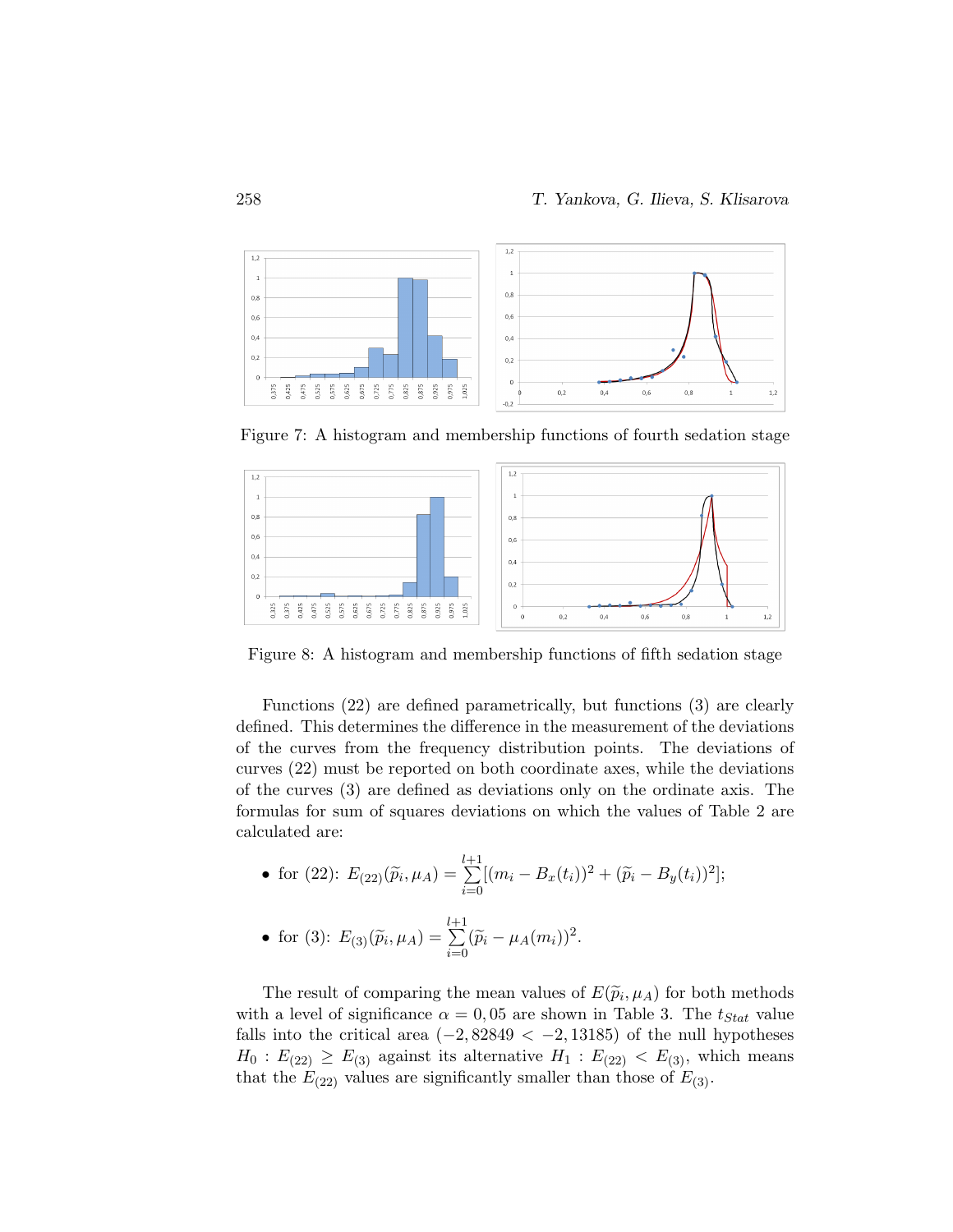

Figure 7: A histogram and membership functions of fourth sedation stage



Figure 8: A histogram and membership functions of fifth sedation stage

Functions (22) are defined parametrically, but functions (3) are clearly defined. This determines the difference in the measurement of the deviations of the curves from the frequency distribution points. The deviations of curves (22) must be reported on both coordinate axes, while the deviations of the curves (3) are defined as deviations only on the ordinate axis. The formulas for sum of squares deviations on which the values of Table 2 are calculated are:

• for (22): 
$$
E_{(22)}(\tilde{p}_i, \mu_A) = \sum_{i=0}^{l+1} [(m_i - B_x(t_i))^2 + (\tilde{p}_i - B_y(t_i))^2];
$$

• for (3): 
$$
E_{(3)}(\tilde{p}_i, \mu_A) = \sum_{i=0}^{l+1} (\tilde{p}_i - \mu_A(m_i))^2
$$
.

The result of comparing the mean values of  $E(\tilde{p}_i, \mu_A)$  for both methods<br>b. a lovel of circuitence  $\alpha = 0.05$  are shown in Table 3. The  $t_{\alpha}$  value with a level of significance  $\alpha = 0.05$  are shown in Table 3. The  $t_{Stat}$  value falls into the critical area  $(-2, 82849 < -2, 13185)$  of the null hypotheses  $H_0: E_{(22)} \geq E_{(3)}$  against its alternative  $H_1: E_{(22)} < E_{(3)}$ , which means that the  $E_{(22)}$  values are significantly smaller than those of  $E_{(3)}$ .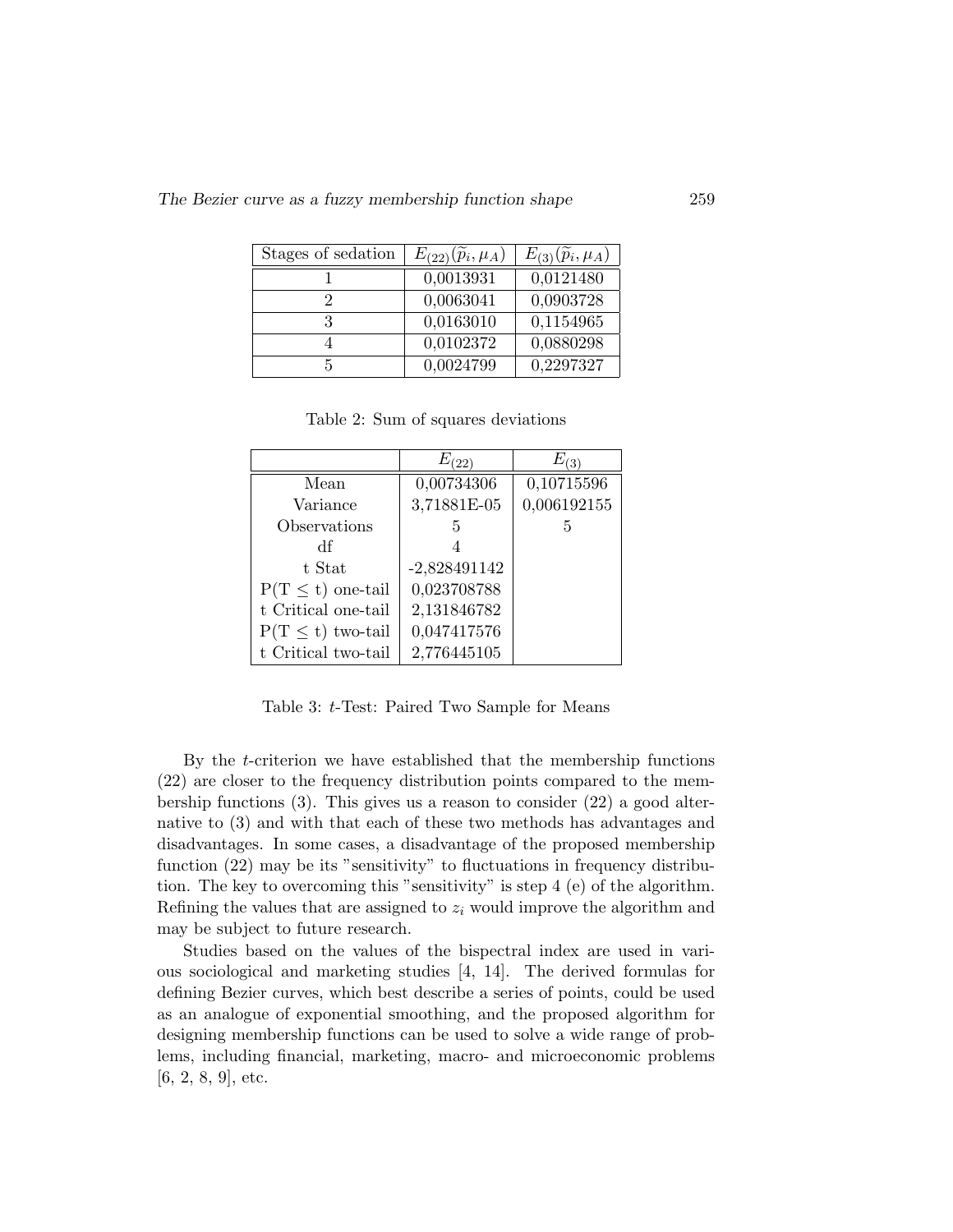The Bezier curve as a fuzzy membership function shape 259

| Stages of sedation | $E_{(22)}(\tilde{p}_i,\mu_A)$ | $E_{(3)}(\tilde{p}_i,\mu_A)$ |
|--------------------|-------------------------------|------------------------------|
|                    | 0,0013931                     | 0,0121480                    |
| 2                  | 0,0063041                     | 0,0903728                    |
| 3                  | 0,0163010                     | 0,1154965                    |
|                    | 0,0102372                     | 0,0880298                    |
| 5                  | 0,0024799                     | 0,2297327                    |

Table 2: Sum of squares deviations

|                       | $E_{(22)}$     | $E_{(3)}$   |
|-----------------------|----------------|-------------|
| Mean                  | 0,00734306     | 0,10715596  |
| Variance              | 3,71881E-05    | 0,006192155 |
| Observations          | 5              | 5           |
| df                    | 4              |             |
| t Stat                | $-2,828491142$ |             |
| $P(T \le t)$ one-tail | 0,023708788    |             |
| t Critical one-tail   | 2,131846782    |             |
| $P(T \le t)$ two-tail | 0,047417576    |             |
| t Critical two-tail   | 2,776445105    |             |

Table 3: t-Test: Paired Two Sample for Means

By the t-criterion we have established that the membership functions (22) are closer to the frequency distribution points compared to the membership functions (3). This gives us a reason to consider (22) a good alternative to (3) and with that each of these two methods has advantages and disadvantages. In some cases, a disadvantage of the proposed membership function (22) may be its "sensitivity" to fluctuations in frequency distribution. The key to overcoming this "sensitivity" is step 4 (e) of the algorithm. Refining the values that are assigned to  $z_i$  would improve the algorithm and may be subject to future research.

Studies based on the values of the bispectral index are used in various sociological and marketing studies [4, 14]. The derived formulas for defining Bezier curves, which best describe a series of points, could be used as an analogue of exponential smoothing, and the proposed algorithm for designing membership functions can be used to solve a wide range of problems, including financial, marketing, macro- and microeconomic problems [6, 2, 8, 9], etc.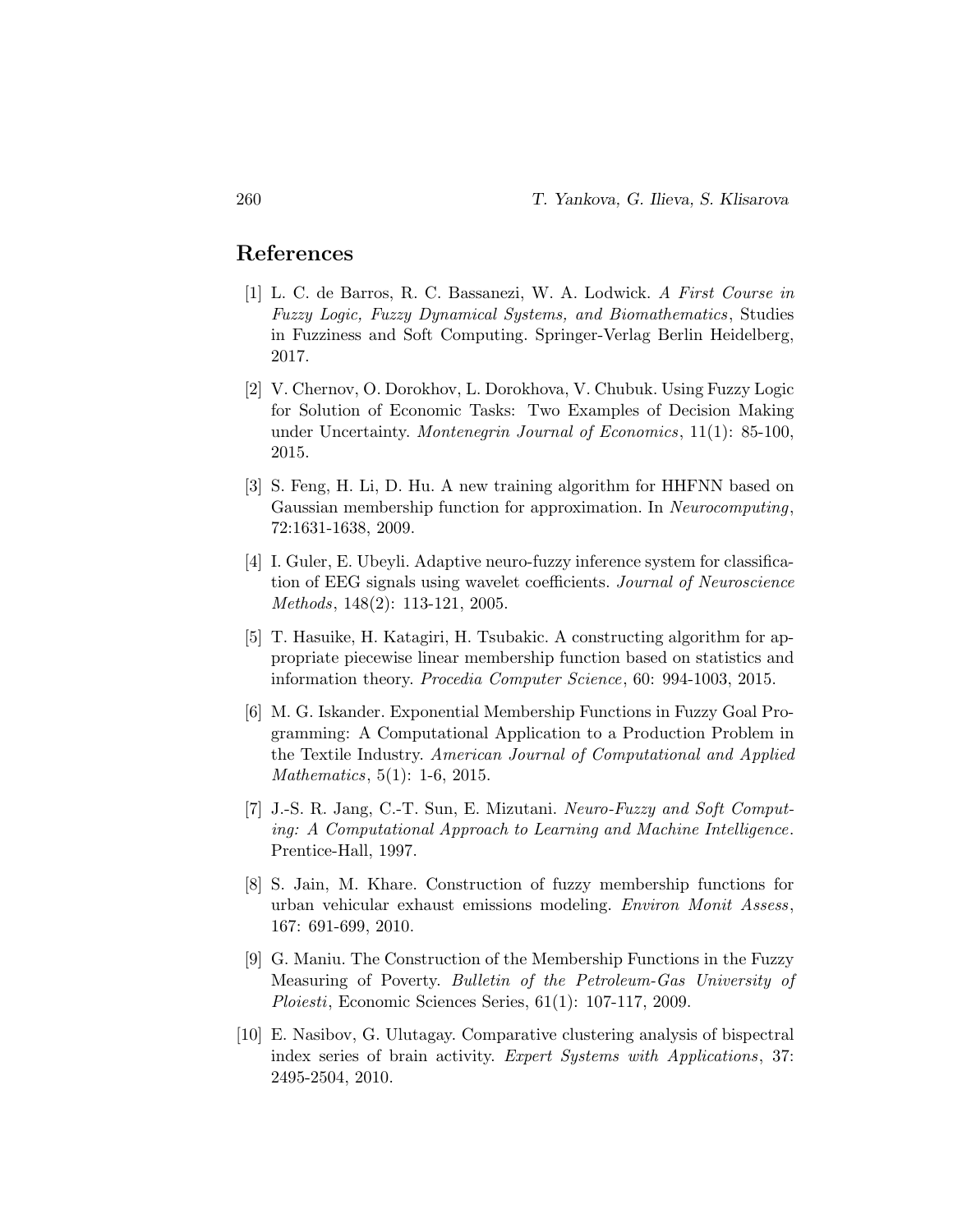#### References

- [1] L. C. de Barros, R. C. Bassanezi, W. A. Lodwick. A First Course in Fuzzy Logic, Fuzzy Dynamical Systems, and Biomathematics , Studies in Fuzziness and Soft Computing. Springer-Verlag Berlin Heidelberg, 2017.
- [2] V. Chernov, O. Dorokhov, L. Dorokhova, V. Chubuk. Using Fuzzy Logic for Solution of Economic Tasks: Two Examples of Decision Making under Uncertainty. Montenegrin Journal of Economics, 11(1): 85-100, 2015.
- [3] S. Feng, H. Li, D. Hu. A new training algorithm for HHFNN based on Gaussian membership function for approximation. In Neurocomputing, 72:1631-1638, 2009.
- [4] I. Guler, E. Ubeyli. Adaptive neuro-fuzzy inference system for classification of EEG signals using wavelet coefficients. Journal of Neuroscience Methods, 148(2): 113-121, 2005.
- [5] T. Hasuike, H. Katagiri, H. Tsubakic. A constructing algorithm for appropriate piecewise linear membership function based on statistics and information theory. Procedia Computer Science, 60: 994-1003, 2015.
- [6] M. G. Iskander. Exponential Membership Functions in Fuzzy Goal Programming: A Computational Application to a Production Problem in the Textile Industry. American Journal of Computational and Applied Mathematics, 5(1): 1-6, 2015.
- [7] J.-S. R. Jang, C.-T. Sun, E. Mizutani. Neuro-Fuzzy and Soft Computing: A Computational Approach to Learning and Machine Intelligence. Prentice-Hall, 1997.
- [8] S. Jain, M. Khare. Construction of fuzzy membership functions for urban vehicular exhaust emissions modeling. Environ Monit Assess, 167: 691-699, 2010.
- [9] G. Maniu. The Construction of the Membership Functions in the Fuzzy Measuring of Poverty. Bulletin of the Petroleum-Gas University of Ploiesti, Economic Sciences Series, 61(1): 107-117, 2009.
- [10] E. Nasibov, G. Ulutagay. Comparative clustering analysis of bispectral index series of brain activity. Expert Systems with Applications, 37: 2495-2504, 2010.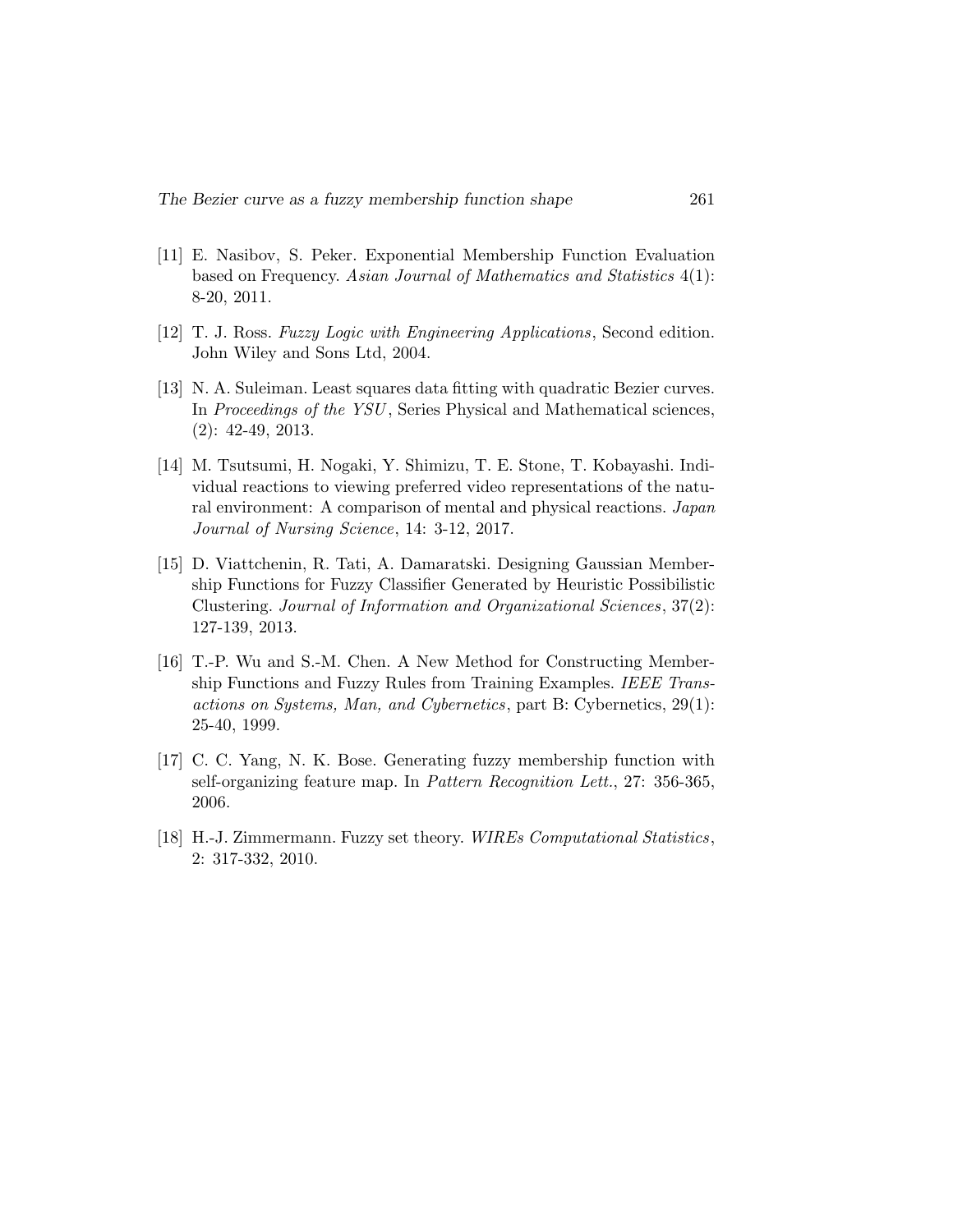- [11] E. Nasibov, S. Peker. Exponential Membership Function Evaluation based on Frequency. Asian Journal of Mathematics and Statistics 4(1): 8-20, 2011.
- [12] T. J. Ross. Fuzzy Logic with Engineering Applications, Second edition. John Wiley and Sons Ltd, 2004.
- [13] N. A. Suleiman. Least squares data fitting with quadratic Bezier curves. In Proceedings of the YSU , Series Physical and Mathematical sciences, (2): 42-49, 2013.
- [14] M. Tsutsumi, H. Nogaki, Y. Shimizu, T. E. Stone, T. Kobayashi. Individual reactions to viewing preferred video representations of the natural environment: A comparison of mental and physical reactions. Japan Journal of Nursing Science, 14: 3-12, 2017.
- [15] D. Viattchenin, R. Tati, A. Damaratski. Designing Gaussian Membership Functions for Fuzzy Classifier Generated by Heuristic Possibilistic Clustering. Journal of Information and Organizational Sciences, 37(2): 127-139, 2013.
- [16] T.-P. Wu and S.-M. Chen. A New Method for Constructing Membership Functions and Fuzzy Rules from Training Examples. IEEE Transactions on Systems, Man, and Cybernetics, part B: Cybernetics, 29(1): 25-40, 1999.
- [17] C. C. Yang, N. K. Bose. Generating fuzzy membership function with self-organizing feature map. In Pattern Recognition Lett., 27: 356-365, 2006.
- [18] H.-J. Zimmermann. Fuzzy set theory. WIREs Computational Statistics, 2: 317-332, 2010.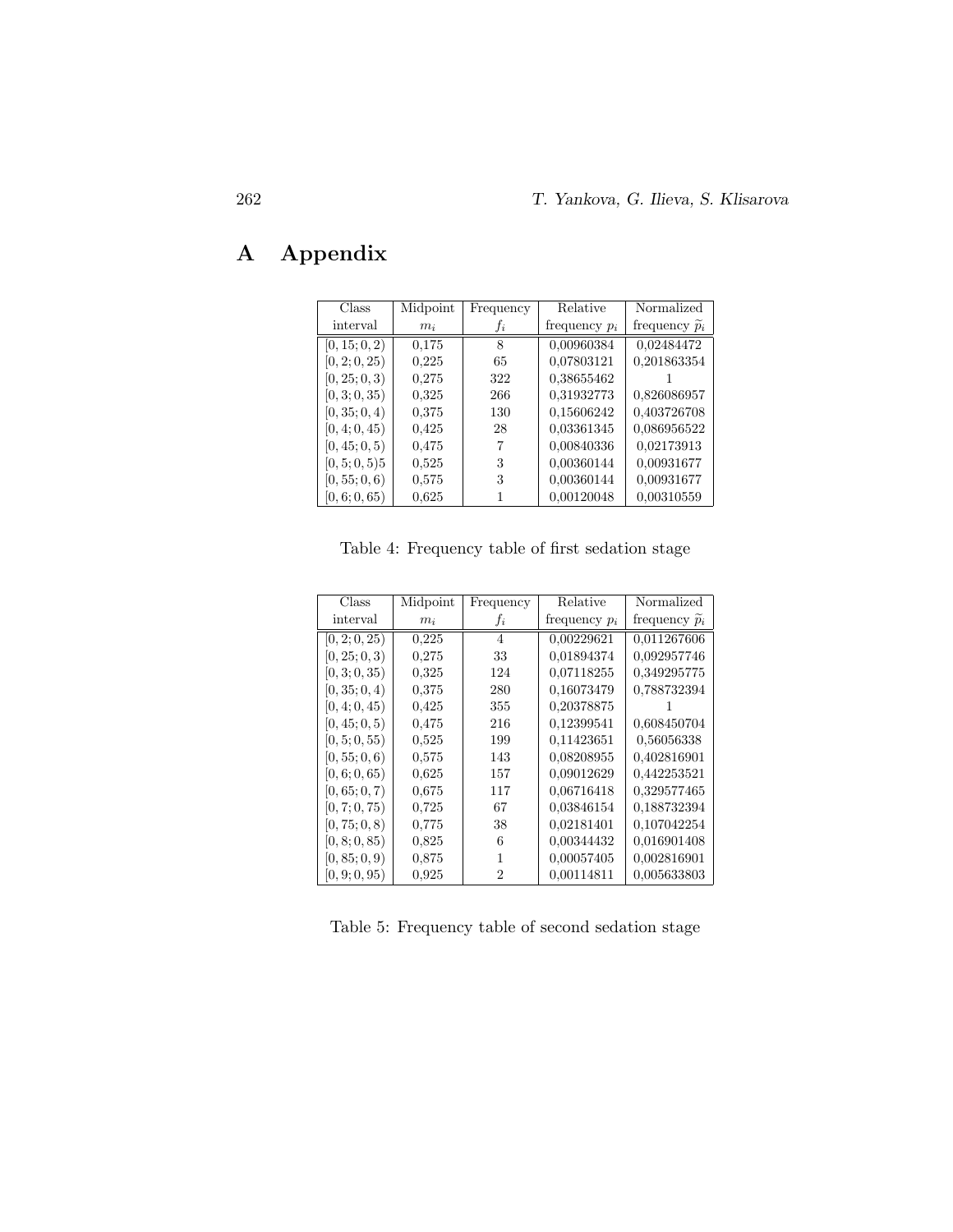# A Appendix

| Class         | Midpoint | Frequency       | Relative        | Normalized                  |
|---------------|----------|-----------------|-----------------|-----------------------------|
| interval      | $m_i$    | .f <sub>i</sub> | frequency $p_i$ | frequency $\widetilde{p}_i$ |
| [0, 15; 0, 2) | 0.175    | 8               | 0,00960384      | 0,02484472                  |
| [0, 2; 0, 25) | 0.225    | 65              | 0.07803121      | 0.201863354                 |
| [0, 25; 0, 3) | 0,275    | 322             | 0.38655462      |                             |
| [0, 3; 0, 35) | 0.325    | 266             | 0.31932773      | 0.826086957                 |
| [0, 35; 0, 4) | 0,375    | 130             | 0.15606242      | 0,403726708                 |
| [0, 4; 0, 45) | 0.425    | 28              | 0.03361345      | 0,086956522                 |
| [0, 45; 0, 5) | 0.475    |                 | 0.00840336      | 0.02173913                  |
| [0, 5; 0, 5)5 | 0,525    | 3               | 0.00360144      | 0.00931677                  |
| [0, 55; 0, 6) | 0,575    | 3               | 0.00360144      | 0.00931677                  |
| [0, 6; 0, 65) | 0.625    |                 | 0.00120048      | 0.00310559                  |

Table 4: Frequency table of first sedation stage

| Class         | Midpoint | Frequency      | Relative        | Normalized                  |
|---------------|----------|----------------|-----------------|-----------------------------|
| interval      | $m_i$    | $f_i$          | frequency $p_i$ | frequency $\widetilde{p}_i$ |
| [0, 2; 0, 25) | 0.225    | $\overline{4}$ | 0.00229621      | 0.011267606                 |
| [0, 25; 0, 3) | 0.275    | 33             | 0.01894374      | 0.092957746                 |
| [0, 3; 0, 35) | 0,325    | 124            | 0.07118255      | 0.349295775                 |
| [0, 35; 0, 4) | 0.375    | 280            | 0.16073479      | 0.788732394                 |
| [0, 4; 0, 45) | 0.425    | 355            | 0.20378875      |                             |
| [0, 45; 0, 5) | 0.475    | 216            | 0.12399541      | 0.608450704                 |
| [0, 5; 0, 55) | 0,525    | 199            | 0.11423651      | 0.56056338                  |
| [0, 55; 0, 6) | 0,575    | 143            | 0.08208955      | 0.402816901                 |
| [0, 6; 0, 65) | 0.625    | 157            | 0.09012629      | 0.442253521                 |
| [0, 65; 0, 7) | 0.675    | 117            | 0.06716418      | 0.329577465                 |
| [0, 7; 0, 75) | 0,725    | 67             | 0.03846154      | 0.188732394                 |
| [0, 75; 0, 8) | 0,775    | 38             | 0.02181401      | 0.107042254                 |
| [0, 8; 0, 85) | 0,825    | 6              | 0.00344432      | 0.016901408                 |
| [0, 85; 0, 9) | 0,875    |                | 0.00057405      | 0.002816901                 |
| [0, 9; 0, 95) | 0.925    | 2              | 0.00114811      | 0.005633803                 |

Table 5: Frequency table of second sedation stage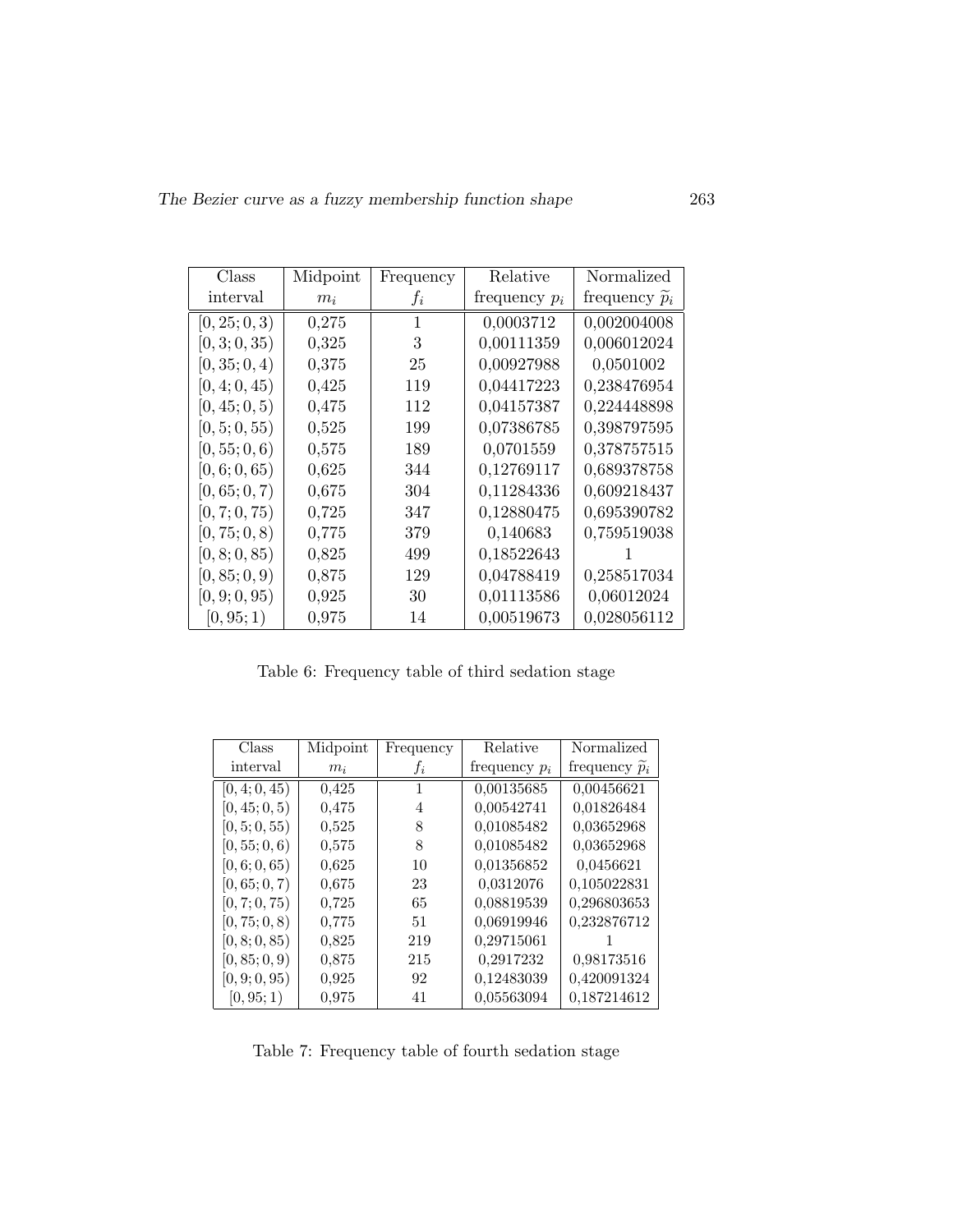| Class         | Midpoint | Frequency | Relative        | Normalized              |
|---------------|----------|-----------|-----------------|-------------------------|
| interval      | $m_i$    | $f_i$     | frequency $p_i$ | frequency $\tilde{p}_i$ |
| [0, 25; 0, 3) | 0,275    | 1         | 0,0003712       | 0,002004008             |
| [0, 3; 0, 35) | 0,325    | 3         | 0,00111359      | 0,006012024             |
| [0, 35; 0, 4) | 0,375    | 25        | 0,00927988      | 0,0501002               |
| [0, 4; 0, 45) | 0,425    | 119       | 0,04417223      | 0,238476954             |
| [0, 45; 0, 5) | 0,475    | 112       | 0,04157387      | 0,224448898             |
| [0, 5; 0, 55) | 0,525    | 199       | 0,07386785      | 0,398797595             |
| [0, 55; 0, 6) | 0,575    | 189       | 0,0701559       | 0,378757515             |
| [0, 6; 0, 65) | 0,625    | 344       | 0,12769117      | 0,689378758             |
| [0, 65; 0, 7) | 0,675    | 304       | 0,11284336      | 0,609218437             |
| [0, 7; 0, 75) | 0,725    | 347       | 0,12880475      | 0,695390782             |
| [0, 75; 0, 8) | 0,775    | 379       | 0,140683        | 0,759519038             |
| [0, 8; 0, 85) | 0,825    | 499       | 0,18522643      |                         |
| [0, 85; 0, 9) | 0,875    | 129       | 0,04788419      | 0,258517034             |
| [0, 9; 0, 95) | 0,925    | 30        | 0,01113586      | 0,06012024              |
| [0, 95; 1)    | 0,975    | 14        | 0,00519673      | 0,028056112             |

Table 6: Frequency table of third sedation stage

| Class         | Midpoint | Frequency | Relative        | Normalized              |
|---------------|----------|-----------|-----------------|-------------------------|
| interval      | $m_i$    | .t.       | frequency $p_i$ | frequency $\tilde{p}_i$ |
| [0, 4; 0, 45) | 0,425    | 1         | 0,00135685      | 0,00456621              |
| [0, 45; 0, 5) | 0,475    | 4         | 0,00542741      | 0,01826484              |
| [0, 5; 0, 55) | 0.525    | 8         | 0,01085482      | 0,03652968              |
| [0, 55; 0, 6) | 0,575    | 8         | 0,01085482      | 0,03652968              |
| [0, 6; 0, 65) | 0.625    | 10        | 0,01356852      | 0,0456621               |
| [0, 65; 0, 7) | 0,675    | 23        | 0,0312076       | 0,105022831             |
| [0, 7; 0, 75) | 0,725    | 65        | 0,08819539      | 0,296803653             |
| [0, 75; 0, 8) | 0,775    | 51        | 0,06919946      | 0,232876712             |
| [0, 8; 0, 85) | 0,825    | 219       | 0,29715061      |                         |
| [0, 85; 0, 9) | 0.875    | 215       | 0,2917232       | 0,98173516              |
| [0, 9; 0, 95) | 0,925    | 92        | 0,12483039      | 0,420091324             |
| [0, 95; 1)    | 0,975    | 41        | 0,05563094      | 0,187214612             |

Table 7: Frequency table of fourth sedation stage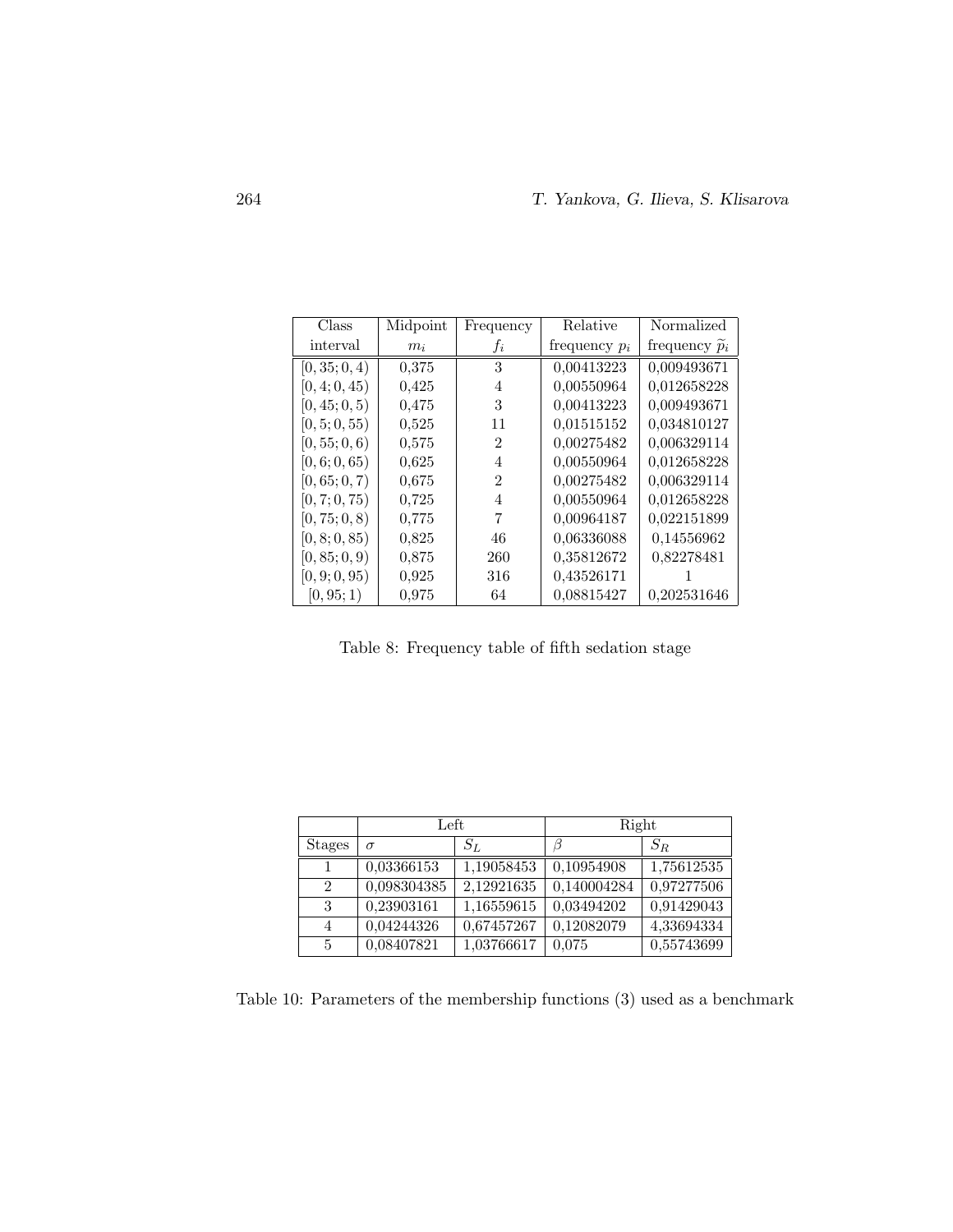| Class         | Midpoint | Frequency                   | Relative        | Normalized              |
|---------------|----------|-----------------------------|-----------------|-------------------------|
| interval      | $m_i$    | .t.                         | frequency $p_i$ | frequency $\tilde{p}_i$ |
| [0, 35; 0, 4) | 0,375    | 3                           | 0,00413223      | 0,009493671             |
| [0, 4; 0, 45) | 0.425    | 4                           | 0,00550964      | 0,012658228             |
| [0, 45; 0, 5) | 0.475    | 3                           | 0,00413223      | 0,009493671             |
| [0, 5; 0, 55) | 0,525    | 11                          | 0,01515152      | 0,034810127             |
| [0, 55; 0, 6) | 0.575    | 2                           | 0,00275482      | 0,006329114             |
| [0, 6; 0, 65) | 0,625    | 4                           | 0,00550964      | 0,012658228             |
| [0, 65; 0, 7) | 0.675    | $\mathcal{D}_{\mathcal{L}}$ | 0,00275482      | 0,006329114             |
| [0, 7; 0, 75) | 0,725    | 4                           | 0,00550964      | 0,012658228             |
| [0, 75; 0, 8) | 0.775    | 7                           | 0,00964187      | 0,022151899             |
| [0, 8; 0, 85) | 0,825    | 46                          | 0,06336088      | 0,14556962              |
| [0, 85; 0, 9) | 0.875    | 260                         | 0,35812672      | 0,82278481              |
| [0, 9; 0, 95) | 0,925    | 316                         | 0,43526171      |                         |
| [0, 95; 1)    | 0.975    | 64                          | 0.08815427      | 0.202531646             |

Table 8: Frequency table of fifth sedation stage

|                             | Left        |            | Right       |            |
|-----------------------------|-------------|------------|-------------|------------|
| <b>Stages</b>               | $\sigma$    | $S_L$      | b           | $S_R$      |
|                             | 0.03366153  | 1,19058453 | 0,10954908  | 1,75612535 |
| $\mathcal{D}_{\mathcal{L}}$ | 0,098304385 | 2.12921635 | 0,140004284 | 0,97277506 |
| 3                           | 0,23903161  | 1,16559615 | 0,03494202  | 0,91429043 |
|                             | 0,04244326  | 0,67457267 | 0,12082079  | 4,33694334 |
| 5                           | 0,08407821  | 1,03766617 | 0.075       | 0,55743699 |

Table 10: Parameters of the membership functions (3) used as a benchmark